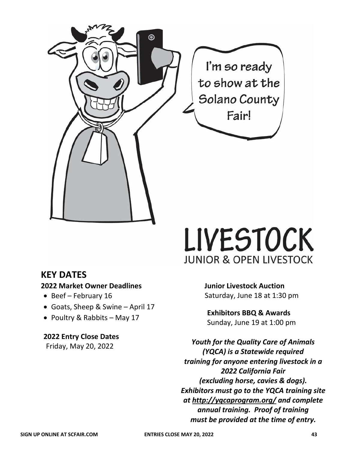

# **LIVESTOCK JUNIOR & OPEN LIVESTOCK**

## **KEY DATES**

## **2022 Market Owner Deadlines**

- Beef February 16
- Goats, Sheep & Swine April 17
- Poultry & Rabbits May 17

## **2022 Entry Close Dates**

Friday, May 20, 2022

**Junior Livestock Auction** Saturday, June 18 at 1:30 pm

**Exhibitors BBQ & Awards** Sunday, June 19 at 1:00 pm

*Youth for the Quality Care of Animals (YQCA) is a Statewide required training for anyone entering livestock in a 2022 California Fair (excluding horse, cavies & dogs). Exhibitors must go to the YQCA training site at [http://yqcaprogram.org/](http://yqca.org/) and complete annual training. Proof of training must be provided at the time of entry.*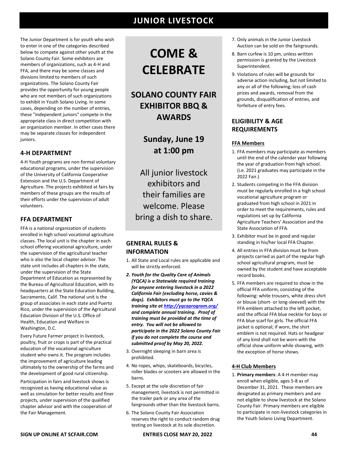The Junior Department is for youth who wish to enter in one of the categories described below to compete against other youth at the Solano County Fair. Some exhibitors are members of organizations, such as 4-H and FFA, and there may be some classes and divisions limited to members of such organizations. The Solano County Fair provides the opportunity for young people who are not members of such organizations to exhibit in Youth Solano Living. In some cases, depending on the number of entries, these "independent juniors" compete in the appropriate class in direct competition with an organization member. In other cases there may be separate classes for independent juniors.

### **4-H DEPARTMENT**

4-H Youth programs are non-formal voluntary educational programs, under the supervision of the University of California Cooperative Extension and the U.S. Department of Agriculture. The projects exhibited at fairs by members of these groups are the results of their efforts under the supervision of adult volunteers.

### **FFA DEPARTMENT**

FFA is a national organization of students enrolled in high school vocational agriculture classes. The local unit is the chapter in each school offering vocational agriculture, under the supervision of the agricultural teacher who is also the local chapter advisor. The state unit includes all chapters in the state, under the supervision of the State Department of Education as represented by the Bureau of Agricultural Education, with its headquarters at the State Education Building, Sacramento, Calif. The national unit is the group of associates in each state and Puerto Rico, under the supervision of the Agricultural Education Division of the U.S. Office of Health, Education and Welfare in Washington, D.C.

Every Future Farmer project in livestock, poultry, fruit or crops is part of the practical education of the vocational agriculture student who owns it. The program includes the improvement of agriculture leading ultimately to the ownership of the farms and the development of good rural citizenship.

Participation in fairs and livestock shows is recognized as having educational value as well as simulation for better results and finer projects, under supervision of the qualified chapter advisor and with the cooperation of the Fair Management.

# **COME & CELEBRATE**

## **SOLANO COUNTY FAIR EXHIBITOR BBQ & AWARDS**

**Sunday, June 19 at 1:00 pm**

All junior livestock exhibitors and their families are welcome. Please bring a dish to share.

### **GENERAL RULES & INFORMATION**

- 1. All State and Local rules are applicable and will be strictly enforced.
- *2. Youth for the Quality Care of Animals (YQCA) is a Statewide required training for anyone entering livestock in a 2022 California Fair (excluding horse, cavies & dogs). Exhibitors must go to the YQCA training site a[t http://yqcaprogram.org/](http://yqcaprogram.org/) and complete annual training. Proof of training must be provided at the time of entry. You will not be allowed to participate in the 2022 Solano County Fair if you do not complete the course and submitted proof by May 20, 2022.*
- 3. Overnight sleeping in barn area is prohibited.
- 4. No ropes, whips, skateboards, bicycles, roller blades or scooters are allowed in the barns.
- 5. Except at the sole discretion of fair management, livestock is not permitted in the trailer park or any area of the fairgrounds other than the livestock barns.
- 6. The Solano County Fair Association reserves the right to conduct random drug testing on livestock at its sole discretion.
- 7. Only animals in the Junior Livestock Auction can be sold on the fairgrounds.
- 8. Barn curfew is 10 pm, unless written permission is granted by the Livestock Superintendent.
- 9. Violations of rules will be grounds for adverse action including, but not limited to any or all of the following; loss of cash prizes and awards, removal from the grounds, disqualification of entries, and forfeiture of entry fees.

### **ELIGIBILITY & AGE REQUIREMENTS**

### **FFA Members**

- 1. FFA members may participate as members until the end of the calendar year following the year of graduation from high school. (i.e. 2021 graduates may participate in the 2022 Fair.)
- 2. Students competing in the FFA division must be regularly enrolled in a high school vocational agriculture program or graduated from high school in 2021 in order to meet the requirements, rules and regulations set up by California Agriculture Teachers' Association and the State Association of FFA.
- 3. Exhibitor must be in good and regular standing in his/her local FFA Chapter.
- 4. All entries in FFA division must be from projects carried as part of the regular high school agricultural program, must be owned by the student and have acceptable record books.
- 5. FFA members are required to show in the official FFA uniform, consisting of the following: white trousers, white dress shirt or blouse (short- or long-sleeved) with the FFA emblem attached to the left pocket, and the official FFA blue necktie for boys or FFA blue scarf for girls. The official FFA jacket is optional; if worn, the shirt emblem is not required. Hats or headgear of any kind shall not be worn with the official show uniform while showing, with the exception of horse shows.

### **4-H Club Members**

1. **Primary members**: A 4-H member may enroll when eligible, ages 5-8 as of December 31, 2021. These members are designated as primary members and are not eligible to show livestock at the Solano County Fair. Primary members are eligible to participate in non-livestock categories in the Youth Solano Living Department.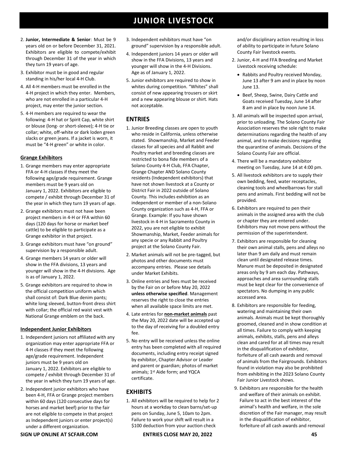- 2. **Junior, Intermediate & Senior**: Must be 9 years old on or before December 31, 2021. Exhibitors are eligible to compete/exhibit through December 31 of the year in which they turn 19 years of age.
- 3. Exhibitor must be in good and regular standing in his/her local 4-H Club.
- 4. All 4-H members must be enrolled in the 4-H project in which they enter. Members, who are not enrolled in a particular 4-H project, may enter the junior section.
- 5. 4-H members are required to wear the following: 4-H hat or Spirit Cap, white shirt or blouse (long- or short-sleeve); 4-H tie or collar; white, off-white or dark loden green slacks or green jeans. If a jacket is worn, it must be "4-H green" or white in color.

### **Grange Exhibitors**

- 1. Grange members may enter appropriate FFA or 4-H classes if they meet the following age/grade requirement. Grange members must be 9 years old on January 1, 2022. Exhibitors are eligible to compete / exhibit through December 31 of the year in which they turn 19 years of age.
- 2. Grange exhibitors must not have been project members in 4-H or FFA within 60 days (120 days for horse or market beef cattle) to be eligible to participate as a Grange exhibitor in that project.
- 3. Grange exhibitors must have "on ground" supervision by a responsible adult.
- 4. Grange members 14 years or older will show in the FFA divisions, 13 years and younger will show in the 4-H divisions. Age is as of January 1, 2022.
- 5. Grange exhibitors are required to show in the official competition uniform which shall consist of: Dark Blue denim pants; white long sleeved, button-front dress shirt with collar; the official red waist vest with National Grange emblem on the back.

### **Independent Junior Exhibitors**

- 1. Independent juniors not affiliated with any organization may enter appropriate FFA or 4-H classes if they meet the following age/grade requirement. Independent juniors must be 9 years old on January 1, 2022. Exhibitors are eligible to compete / exhibit through December 31 of the year in which they turn 19 years of age.
- 2. Independent junior exhibitors who have been 4-H, FFA or Grange project members within 60 days (120 consecutive days for horses and market beef) prior to the fair are not eligible to compete in that project as Independent juniors or enter project(s) under a different organization.
- 3. Independent exhibitors must have "on ground" supervision by a responsible adult.
- 4. Independent juniors 14 years or older will show in the FFA Divisions, 13 years and younger will show in the 4-H Divisions. Age as of January 1, 2022.
- 5. Junior exhibitors are required to show in whites during competition. "Whites" shall consist of new appearing trousers or skirt and a new appearing blouse or shirt. Hats not acceptable.

### **ENTRIES**

- 1. Junior Breeding classes are open to youth who reside in California, unless otherwise stated. Showmanship, Market and Feeder classes for all species and all Rabbit and Poultry market and breeding classes are restricted to bona fide members of a Solano County 4-H Club, FFA Chapter, Grange Chapter AND Solano County residents (Independent exhibitors) that have not shown livestock at a County or District Fair in 2022 outside of Solano County. This includes exhibition as an independent or member of a non-Solano County organization such as 4-H, FFA or Grange. Example: If you have shown livestock in 4-H in Sacramento County in 2022, you are not eligible to exhibit Showmanship, Market, Feeder animals for any specie or any Rabbit and Poultry project at the Solano County Fair.
- 2. Market animals will not be pre-tagged, but photos and other documents must accompany entries. Please see details under Market Exhibits.
- 3. Online entries and fees must be received by the Fair on or before May 20, 2022 **unless otherwise specified**. Management reserves the right to close the entries when all available space limits are met.
- 4. Late entries for **non-market animals** past the May 20, 2022 date will be accepted up to the day of receiving for a doubled entry fee.
- 5. No entry will be received unless the online entry has been completed with all required documents, including entry receipt signed by exhibitor, Chapter Advisor or Leader and parent or guardian; photos of market animals; 1<sup>st</sup> Aide form; and YQCA certificate.

### **EXHIBITS**

1. All exhibitors will be required to help for 2 hours at a workday to clean barns/set-up pens on Sunday, June 5, 10am to 2pm. Failure to work your shift will result in a \$100 deduction from your auction check

and/or disciplinary action resulting in loss of ability to participate in future Solano County Fair livestock events.

- 2. Junior, 4-H and FFA Breeding and Market Livestock receiving schedule:
	- Rabbits and Poultry received Monday, June 13 after 9 am and in place by noon June 13.
	- Beef, Sheep, Swine, Dairy Cattle and Goats received Tuesday, June 14 after 8 am and in place by noon June 14.
- 3. All animals will be inspected upon arrival, prior to unloading. The Solano County Fair Association reserves the sole right to make determinations regarding the health of any animal, and to make decisions regarding the quarantine of animals. Decisions of the Solano County Fair are official.
- 4. There will be a mandatory exhibitor meeting on Tuesday, June 14 at 4:00 pm.
- 5. All livestock exhibitors are to supply their own bedding, feed, water receptacles, cleaning tools and wheelbarrows for stall pens and animals. First bedding will not be provided.
- 6. Exhibitors are required to pen their animals in the assigned area with the club or chapter they are entered under. Exhibitors may not move pens without the permission of the superintendent.
- 7. Exhibitors are responsible for cleaning their own animal stalls, pens and alleys no later than 9 am daily and must remain clean until designated release times. Manure must be deposited in designated areas only by 9 am each day. Pathways, approaches and area surrounding stalls must be kept clear for the convenience of spectators. No dumping in any public accessed area.
- 8. Exhibitors are responsible for feeding, watering and maintaining their own animals. Animals must be kept thoroughly groomed, cleaned and in show condition at all times. Failure to comply with keeping animals, exhibits, stalls, pens and alleys clean and cared for at all times may result in the disqualification of exhibitor, forfeiture of all cash awards and removal of animals from the Fairgrounds. Exhibitors found in violation may also be prohibited from exhibiting in the 2023 Solano County Fair Junior Livestock shows.
- 9. Exhibitors are responsible for the health and welfare of their animals on exhibit. Failure to act in the best interest of the animal's health and welfare, in the sole discretion of the Fair manager, may result in the disqualification of exhibitor, forfeiture of all cash awards and removal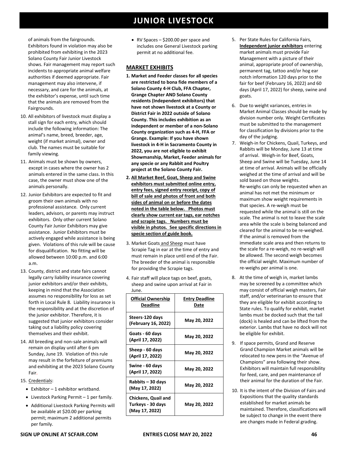of animals from the fairgrounds. Exhibitors found in violation may also be prohibited from exhibiting in the 2023 Solano County Fair Junior Livestock shows. Fair management may report such incidents to appropriate animal welfare authorities if deemed appropriate. Fair management may also intervene, if necessary, and care for the animals, at the exhibitor's expense, until such time that the animals are removed from the Fairgrounds.

- 10. All exhibitors of livestock must display a stall sign for each entry, which should include the following information: The animal's name, breed, breeder, age, weight (if market animal), owner and club. The names must be suitable for family viewing.
- 11. Animals must be shown by owners, except in cases where the owner has 2 animals entered in the same class. In this case, the owner must show one of the animals personally.
- 12. Junior Exhibitors are expected to fit and groom their own animals with no professional assistance. Only current leaders, advisors, or parents may instruct exhibitors. Only other current Solano County Fair Junior Exhibitors may give assistance. Junior Exhibitors must be actively engaged while assistance is being given. Violations of this rule will be cause for disqualification. No fitting will be allowed between 10:00 p.m. and 6:00 a.m.
- 13. County, district and state fairs cannot legally carry liability insurance covering junior exhibitors and/or their exhibits, keeping in mind that the Association assumes no responsibility for loss as set forth in Local Rule 8. Liability insurance is the responsibility and at the discretion of the junior exhibitor. Therefore, it is suggested that junior exhibitors consider taking out a liability policy covering themselves and their exhibit.
- 14. All breeding and non-sale animals will remain on display until after 6 pm Sunday, June 19. Violation of this rule may result in the forfeiture of premiums and exhibiting at the 2023 Solano County Fair.

### 15. Credentials:

- Exhibitor 1 exhibitor wristband.
- Livestock Parking Permit 1 per family.
- Additional Livestock Parking Permits will be available at \$20.00 per parking permit; maximum 2 additional permits per family.

• RV Spaces – \$200.00 per space and includes one General Livestock parking permit at no additional fee.

### **MARKET EXHIBITS**

- **1. Market and Feeder classes for all species are restricted to bona fide members of a Solano County 4-H Club, FFA Chapter, Grange Chapter AND Solano County residents (Independent exhibitors) that have not shown livestock at a County or District Fair in 2022 outside of Solano County. This includes exhibition as an independent or member of a non-Solano County organization such as 4-H, FFA or Grange. Example: If you have shown livestock in 4-H in Sacramento County in 2022, you are not eligible to exhibit Showmanship, Market, Feeder animals for any specie or any Rabbit and Poultry project at the Solano County Fair.**
- **2. All Market Beef, Goat, Sheep and Swine exhibitors must submitted online entry, entry fees, signed entry receipt, copy of bill of sale and photos of front and both sides of animal on or before the dates noted in the table below. Photos must clearly show current ear tags, ear notches and scrapie tags. Numbers must be visible in photos. See specific directions in specie section of guide book.**
- 3. Market Goats and Sheep must have Scrapie Tag in ear at the time of entry and must remain in place until end of the Fair. The breeder of the animal is responsible for providing the Scrapie tags.
- 4. Fair staff will place tags on beef, goats, sheep and swine upon arrival at Fair in June.

| JUIE.                                                             |                               |
|-------------------------------------------------------------------|-------------------------------|
| <b>Official Ownership</b><br><b>Deadline</b>                      | <b>Entry Deadline</b><br>Date |
| Steers-120 days<br>(February 16, 2022)                            | May 20, 2022                  |
| Goats - 60 days<br>(April 17, 2022)                               | May 20, 2022                  |
| Sheep - 60 days<br>(April 17, 2022)                               | May 20, 2022                  |
| Swine - 60 days<br>(April 17, 2022)                               | May 20, 2022                  |
| Rabbits – 30 days<br>(May 17, 2022)                               | May 20, 2022                  |
| <b>Chickens, Quail and</b><br>Turkeys - 30 days<br>(May 17, 2022) | May 20, 2022                  |

- 5. Per State Rules for California Fairs, **Independent junior exhibitors** entering market animals must provide Fair Management with a picture of their animal, appropriate proof of ownership, permanent tag, tattoo and/or hog ear notch information 120 days prior to the fair for beef (February 16, 2022) and 60 days (April 17, 2022) for sheep, swine and goats.
- 6. Due to weight variances, entries in Market Animal Classes should be made by division number only. Weight Certificates must be submitted to the management for classification by divisions prior to the day of the judging.
- 7. Weigh-in for Chickens, Quail, Turkeys, and Rabbits will be Monday, June 13 at time of arrival. Weigh-in for Beef, Goats, Sheep and Swine will be Tuesday, June 14 at time of arrival. Animals will be officially weighed at the time of arrival and will be sold based on those weights. Re-weighs can only be requested when an animal has not met the minimum or maximum show weight requirements in that species. A re-weigh must be requested while the animal is still on the scale. The animal is not to leave the scale area while the scale is being balanced and cleared for the animal to be re-weighed. If the animal is removed from the immediate scale area and then returns to the scale for a re-weigh, no re-weigh will be allowed. The second weigh becomes the official weight. Maximum number of re-weighs per animal is one.
- 8. At the time of weigh in, market lambs may be screened by a committee which may consist of official weigh masters, Fair staff, and/or veterinarian to ensure that they are eligible for exhibit according to State rules. To qualify for exhibit, market lambs must be docked such that the tail (dock) is healed and can be lifted from the exterior. Lambs that have no dock will not be eligible for exhibit.
- 9. If space permits, Grand and Reserve Grand Champion Market animals will be relocated to new pens in the "Avenue of Champions" area following their show. Exhibitors will maintain full responsibility for feed, care, and pen maintenance of their animal for the duration of the Fair.
- 10. It is the intent of the Division of Fairs and Expositions that the quality standards established for market animals be maintained. Therefore, classifications will be subject to change in the event there are changes made in Federal grading.

### **SIGN UP ONLINE AT SCFAIR.COM ENTRIES CLOSE MAY 20, 2022 46**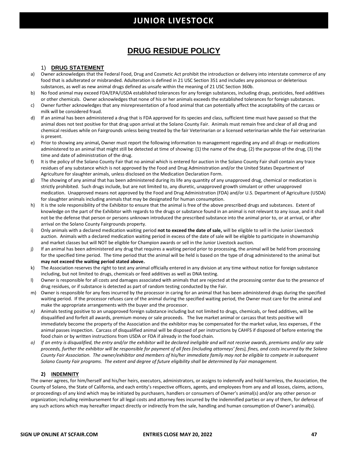## **DRUG RESIDUE POLICY**

### 1) **DRUG STATEMENT**

- a) Owner acknowledges that the Federal Food, Drug and Cosmetic Act prohibit the introduction or delivery into interstate commerce of any food that is adulterated or misbranded. Adulteration is defined in 21 USC Section 351 and includes any poisonous or deleterious substances, as well as new animal drugs defined as unsafe within the meaning of 21 USC Section 360b.
- b) No food animal may exceed FDA/EPA/USDA established tolerances for any foreign substances, including drugs, pesticides, feed additives or other chemicals. Owner acknowledges that none of his or her animals exceeds the established tolerances for foreign substances.
- c) Owner further acknowledges that any misrepresentation of a food animal that can potentially affect the acceptability of the carcass or milk will be considered fraud.
- d) If an animal has been administered a drug that is FDA approved for its species and class, sufficient time must have passed so that the animal does not test positive for that drug upon arrival at the Solano County Fair. Animals must remain free and clear of all drug and chemical residues while on Fairgrounds unless being treated by the fair Veterinarian or a licensed veterinarian while the Fair veterinarian is present.
- e) Prior to showing any animal**,** Owner must report the following information to management regarding any and all drugs or medications administered to an animal that might still be detected at time of showing: (1) the name of the drug, (2) the purpose of the drug, (3) the time and date of administration of the drug.
- f) It is the policy of the Solano County Fair that no animal which is entered for auction in the Solano County Fair shall contain any trace residues of any substance which is not approved by the Food and Drug Administration and/or the United States Department of Agriculture for slaughter animals, unless disclosed on the Medication Declaration Form.
- g) The showing of any animal that has been administered during its life any quantity of any unapproved drug, chemical or medication is strictly prohibited. Such drugs include, but are not limited to, any diuretic, unapproved growth simulant or other unapproved medication. Unapproved means not approved by the Food and Drug Administration (FDA) and/or U.S. Department of Agriculture (USDA) for slaughter animals including animals that may be designated for human consumption.
- h) It is the sole responsibility of the Exhibitor to ensure that the animal is free of the above prescribed drugs and substances. Extent of knowledge on the part of the Exhibitor with regards to the drugs or substance found in an animal is not relevant to any issue, and it shall not be the defense that person or persons unknown introduced the prescribed substance into the animal prior to, or at arrival, or after arrival on the Solano County Fairgrounds property.
- i) Only animals with a declared medication waiting period **not to exceed the date of sale,** will be eligible to sell in the Junior Livestock auction. Animals with a declared medication waiting period in excess of the date of sale will be eligible to participate in showmanship and market classes but will NOT be eligible for Champion awards or sell in the Junior Livestock auction.
- j) If an animal has been administered any drug that requires a waiting period prior to processing, the animal will be held from processing for the specified time period. The time period that the animal will be held is based on the type of drug administered to the animal but **may not exceed the waiting period stated above.**
- k) The Association reserves the right to test any animal officially entered in any division at any time without notice for foreign substance including, but not limited to drugs, chemicals or feed additives as well as DNA testing.
- l) Owner is responsible for all costs and damages associated with animals that are rejected at the processing center due to the presence of drug residues, or if substance is detected as part of random testing conducted by the Fair.
- m) Owner is responsible for any fees incurred by the processor in caring for an animal that has been administered drugs during the specified waiting period. If the processor refuses care of the animal during the specified waiting period, the Owner must care for the animal and make the appropriate arrangements with the buyer and the processor.
- *n)* Animals testing positive to an unapproved foreign substance including but not limited to drugs, chemicals, or feed additives, will be disqualified and forfeit all awards, premium money or sale proceeds. The live market animal or carcass that tests positive will immediately become the property of the Association and the exhibitor may be compensated for the market value, less expenses, if the animal passes inspection. Carcass of disqualified animal will be disposed of per instructions by CAHFS if disposed of before entering the food chain or by written instructions from USDA or FDA if already in the food chain*.*
- *o) If an entry is disqualified, the entry and/or the exhibitor will be declared ineligible and will not receive awards, premiums and/or any sale proceeds, further the exhibitor will be responsible for payment of all fees (including attorneys' fees), fines, and costs incurred by the Solano County Fair Association. The owner/exhibitor and members of his/her immediate family may not be eligible to compete in subsequent Solano County Fair programs. The extent and degree of future eligibility shall be determined by Fair management.*

### **2) INDEMNITY**

The owner agrees, for him/herself and his/her heirs, executors, administrators, or assigns to indemnify and hold harmless, the Association, the County of Solano, the State of California, and each entity's respective officers, agents, and employees from any and all losses, claims, actions, or proceedings of any kind which may be initiated by purchasers, handlers or consumers of Owner's animal(s) and/or any other person or organization; including reimbursement for all legal costs and attorney fees incurred by the indemnified parties or any of them, for defense of any such actions which may hereafter impact directly or indirectly from the sale, handling and human consumption of Owner's animal(s).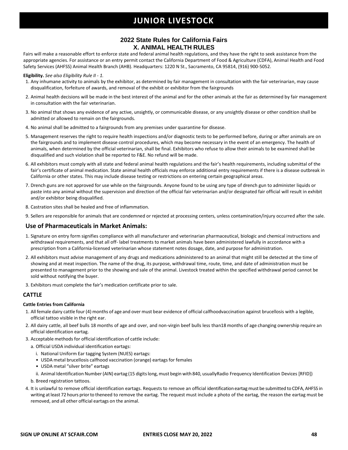### **2022 State Rules for California Fairs X. ANIMAL HEALTH RULES**

Fairs will make a reasonable effort to enforce state and federal animal health regulations, and they have the right to seek assistance from the appropriate agencies. For assistance or an entry permit contact the California Department of Food & Agriculture (CDFA), Animal Health and Food Safety Services (AHFSS) Animal Health Branch (AHB). Headquarters: 1220 N St., Sacramento, CA 95814, (916) 900-5052.

#### **Eligibility.** *See also Eligibility Rule II - 1.*

- 1. Any inhumane activity to animals by the exhibitor, as determined by fair management in consultation with the fair veterinarian, may cause disqualification, forfeiture of awards, and removal of the exhibit or exhibitor from the fairgrounds
- 2. Animal health decisions will be made in the best interest of the animal and for the other animals at the fair as determined by fair management in consultation with the fair veterinarian.
- 3. No animal that shows any evidence of any active, unsightly, or communicable disease, or any unsightly disease or other condition shall be admitted or allowed to remain on the fairgrounds.
- 4. No animal shall be admitted to a fairgrounds from any premises under quarantine for disease.
- 5. Management reserves the right to require health inspections and/or diagnostic tests to be performed before, during or after animals are on the fairgrounds and to implement disease control procedures, which may become necessary in the event of an emergency. The health of animals, when determined by the official veterinarian, shall be final. Exhibitors who refuse to allow their animals to be examined shall be disqualified and such violation shall be reported to F&E. No refund will be made.
- 6. All exhibitors must comply with all state and federal animal health regulations and the fair's health requirements, including submittal of the fair's certificate of animal medication. State animal health officials may enforce additional entry requirements if there is a disease outbreak in California or other states. This may include disease testing or restrictions on entering certain geographical areas.
- 7. Drench guns are not approved for use while on the fairgrounds. Anyone found to be using any type of drench gun to administer liquids or paste into any animal without the supervision and direction of the official fair veterinarian and/or designated fair official will result in exhibit and/or exhibitor being disqualified.
- 8. Castration sites shall be healed and free of inflammation.
- 9. Sellers are responsible for animals that are condemned or rejected at processing centers, unless contamination/injury occurred after the sale.

### **Use of Pharmaceuticals in Market Animals:**

- 1. Signature on entry form signifies compliance with all manufacturer and veterinarian pharmaceutical, biologic and chemical instructions and withdrawal requirements, and that all off- label treatments to market animals have been administered lawfully in accordance with a prescription from a California-licensed veterinarian whose statement notes dosage, date, and purpose for administration.
- 2. All exhibitors must advise management of any drugs and medications administered to an animal that might still be detected at the time of showing and at meat inspection. The name of the drug, its purpose, withdrawal time, route, time, and date of administration must be presented to management prior to the showing and sale of the animal. Livestock treated within the specified withdrawal period cannot be sold without notifying the buyer.
- 3. Exhibitors must complete the fair's medication certificate prior to sale.

### **CATTLE**

#### **Cattle Entries from California**

- 1. All female dairy cattle four (4) months of age and over must bear evidence of official calfhoodvaccination against brucellosis with a legible, official tattoo visible in the right ear.
- 2. All dairy cattle, all beef bulls 18 months of age and over, and non-virgin beef bulls less than18 months of age changing ownership require an official identification eartag.
- 3. Acceptable methods for official identification of cattle include:
	- a. Official USDA individual identification eartags:
		- i. National Uniform Ear tagging System (NUES) eartags:
		- USDA metal brucellosis calfhood vaccination (orange) eartags for females
		- USDA metal "silver brite" eartags
	- ii. Animal Identification Number (AIN) eartag (15 digits long, must begin with 840, usuallyRadio Frequency Identification Devices [RFID])
	- b. Breed registration tattoos.
- 4. It is unlawful to remove official identification eartags. Requests to remove an official identification eartagmust be submitted to CDFA, AHFSS in writing at least 72 hours prior to theneed to remove the eartag. The request must include a photo of the eartag, the reason the eartag must be removed, and all other official eartags on the animal.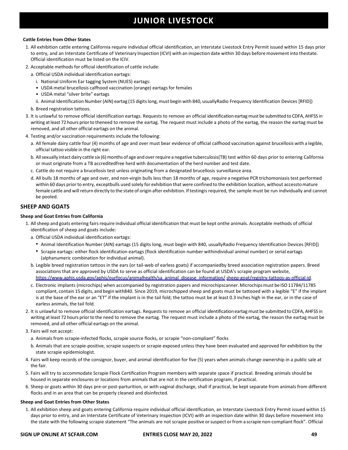### **Cattle Entries from Other States**

- 1. All exhibition cattle entering California require individual official identification, an Interstate Livestock Entry Permit issued within 15 days prior to entry, and an Interstate Certificate of Veterinary Inspection (ICVI) with an inspection date within 30 days before movement into thestate. Official identification must be listed on the ICIV.
- 2. Acceptable methods for official identification of cattle include:
	- a. Official USDA individual identification eartags:
		- i. National Uniform Ear tagging System (NUES) eartags:
		- USDA metal brucellosis calfhood vaccination (orange) eartags for females
		- USDA metal "silver brite" eartags
		- ii. Animal Identification Number (AIN) eartag (15 digits long, must begin with 840, usuallyRadio Frequency Identification Devices [RFID])
	- b. Breed registration tattoos.
- 3. It is unlawful to remove official identification eartags. Requests to remove an official identification eartagmust be submitted to CDFA, AHFSS in writing at least 72 hours prior to theneed to remove the eartag. The request must include a photo of the eartag, the reason the eartag must be removed, and all other official eartags on the animal.
- 4. Testing and/or vaccination requirements include the following:
	- a. All female dairy cattle four (4) months of age and over must bear evidence of official calfhood vaccination against brucellosis with a legible, official tattoo visible in the right ear.
	- b. All sexually intact dairy cattle six (6) months of age and over require a negative tuberculosis(TB) test within 60 days prior to entering California or must originate from a TB accreditedfree herd with documentation of the herd number and test date.
	- c. Cattle do not require a brucellosis test unless originating from a designated brucellosis surveillance area.
	- d. All bulls 18 months of age and over, and non-virgin bulls less than 18 months of age, require a negative PCR trichomoniasistest performed within 60 days prior to entry, exceptbulls used solely for exhibition that were confined to the exhibition location, without accessto mature female cattle and will return directly to the state of origin after exhibition. If testingis required, the sample must be run individually and cannot be pooled.

### **SHEEP AND GOATS**

### **Sheep and Goat Entries from California**

- 1. Allsheep and goats entering fairsrequire individual official identification that must be kept onthe animals. Acceptable methods of official identification of sheep and goats include:
	- a. Official USDA individual identification eartags:
		- Animal Identification Number (AIN) eartags (15 digits long, must begin with 840, usuallyRadio Frequency Identification Devices [RFID])
		- Scrapie eartags: either flock identification eartags (flock identification number withindividual animal number) or serial eartags (alphanumeric combination for individual animal).
	- b. Legible breed registration tattoos in the ears (or tail-web of earless goats) if accompaniedby breed association registration papers. Breed associations that are approved by USDA to serve as official identification can be found at USDA's scrapie program website, [https://www.aphis.usda.gov/aphis/ourfocus/animalhealth/sa\\_animal\\_disease\\_information/](https://www.aphis.usda.gov/aphis/ourfocus/animalhealth/sa_animal_disease_information/sheep-goat/registry-tattoos-as-official-id) [sheep-goat/registry-tattoos-as-official-id.](https://www.aphis.usda.gov/aphis/ourfocus/animalhealth/sa_animal_disease_information/sheep-goat/registry-tattoos-as-official-id)
	- c. Electronic implants (microchips) when accompanied by registration papers and microchipscanner. Microchips must be ISO 11784/11785 compliant, contain 15 digits, and begin with840. Since 2019, microchipped sheep and goats must be tattooed with a legible "E" if the implant is at the base of the ear or an "ET" if the implant is in the tail fold; the tattoo must be at least 0.3 inches high in the ear, or in the case of earless animals, the tail fold.
- 2. It is unlawful to remove official identification eartags. Requests to remove an official identification eartag must be submitted to CDFA, AHFSS in writing at least 72 hours prior to the need to remove the eartag. The request must include a photo of the eartag, the reason the eartag must be removed, and all other official eartags on the animal.
- 3. Fairs will not accept:
	- a. Animals from scrapie-infected flocks, scrapie source flocks, or scrapie "non-compliant" flocks
	- b. Animals that are scrapie-positive, scrapie suspects or scrapie exposed unless they have been evaluated and approved for exhibition by the state scrapie epidemiologist.
- 4. Fairs will keep records of the consignor, buyer, and animal identification for five (5) years when animals change ownership in a public sale at the fair.
- 5. Fairs will try to accommodate Scrapie Flock Certification Program members with separate space if practical. Breeding animals should be housed in separate enclosures or locations from animals that are not in the certification program, if practical.
- 6. Sheep or goats within 30 days pre-or post-parturition, or with vaginal discharge, shall if practical, be kept separate from animals from different flocks and in an area that can be properly cleaned and disinfected.

### **Sheep and Goat Entries from Other States**

1. All exhibition sheep and goats entering California require individual official identification, an Interstate Livestock Entry Permit issued within 15 days prior to entry, and an Interstate Certificate of Veterinary Inspection (ICVI) with an inspection date within 30 days before movement into the state with the following scrapie statement "The animals are not scrapie positive or suspect or from a scrapie non-compliant flock". Official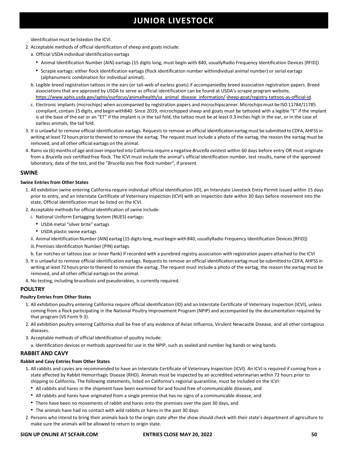identificationmust be listedon the ICVI.

- 2. Acceptable methods of official identification of sheep and goats include:
	- a. Official USDA individual identification eartags
		- Animal Identification Number (AIN) eartags (15 digits long, must begin with 840, usuallyRadio Frequency Identification Devices [RFID])
		- Scrapie eartags: either flock identification eartags (flock identification number withindividual animal number) or serial eartags (alphanumeric combination for individual animal).
	- b. Legible breed registration tattoos in the ears (or tail-web of earless goats) if accompaniedby breed association registration papers. Breed associations that are approved by USDA to serve as official identification can be found at USDA's scrapie program website, [https://www.aphis.usda.gov/aphis/ourfocus/animalhealth/sa\\_animal\\_disease\\_information/](https://www.aphis.usda.gov/aphis/ourfocus/animalhealth/sa_animal_disease_information/sheep-goat/registry-tattoos-as-official-id) [sheep-goat/registry-tattoos-as-official-id.](https://www.aphis.usda.gov/aphis/ourfocus/animalhealth/sa_animal_disease_information/sheep-goat/registry-tattoos-as-official-id)
	- c. Electronic implants (microchips) when accompanied by registration papers and microchipscanner.Microchipsmust be ISO11784/11785 compliant, contain 15 digits, and begin with840. Since 2019, microchipped sheep and goats must be tattooed with a legible "E" if the implant is at the base of the ear or an "ET" if the implant is in the tail fold; the tattoo must be at least 0.3 inches high in the ear, or in the case of earless animals, the tail fold.
- 3. It is unlawful to remove official identification eartags. Requests to remove an official identification eartag must be submitted to CDFA, AHFSS in writing at least 72 hours prior to theneed to remove the eartag. The request must include a photo of the eartag, the reason the eartag must be removed, and all other official eartags on the animal.
- 4. Ramssix (6) months of age and overimported into California require a negative *Brucella ovis*test within 60 days before entry OR must originate from a *Brucella ovis* certified free flock. The ICVI must include the animal's official identification number, test results, name of the approved laboratory, date of the test, and the "*Brucella ovis* free flock number", if present.

### **SWINE**

### **Swine Entries from Other States**

- 1. All exhibition swine entering California require individual official identification (ID), an Interstate Livestock Entry Permit issued within 15 days prior to entry, and an Interstate Certificate of Veterinary Inspection (ICVI) with an inspection date within 30 days before movement into the state. Official identification must be listed on the ICVI.
- 2. Acceptable methods for official identification of swine include:
	- i. National Uniform Eartagging System (NUES) eartags:
		- USDA metal "silver brite" eartags
		- USDA plastic swine eartags
	- ii. Animal Identification Number (AIN) eartag (15 digits long, must begin with 840, usuallyRadio Frequency Identification Devices [RFID])
	- iii. Premises Identification Number (PIN) eartags.
	- b. Ear notches or tattoos (ear or inner flank) if recorded with a purebred registry association with registration papers attached to the ICVI
- 3. It is unlawful to remove official identification eartags. Requests to remove an official identification eartagmust be submitted to CDFA, AHFSS in writing at least 72 hours prior to theneed to remove the eartag. The request must include a photo of the eartag, the reason the eartag must be removed, and all other official eartags on the animal.
- 4. No testing, including brucellosis and pseudorabies, is currently required.

### **POULTRY**

### **Poultry Entries from Other States**

- 1. All exhibition poultry entering California require official identification (ID) and an Interstate Certificate of Veterinary Inspection (ICVI), unless coming from a flock participating in the National Poultry Improvement Program (NPIP) and accompanied by the documentation required by that program (VS Form 9-3).
- 2. All exhibition poultry entering California shall be free of any evidence of Avian Influenza, Virulent Newcastle Disease, and all other contagious diseases.
- 3. Acceptable methods of official identification of poultry include:
- a. Identification devices or methods approved for use in the NPIP, such as sealed and number leg bands or wing bands.

### **RABBIT AND CAVY**

### **Rabbit and Cavy Entries from Other States**

- 1. All rabbits and cavies are recommended to have an Interstate Certificate of Veterinary Inspection (ICVI). An ICVI is required if coming from a state affected by Rabbit Hemorrhagic Disease (RHD). Animals must be inspected by an accredited veterinarian within 72 hours prior to shipping to California. The following statements, listed on California's regional quarantine, must be included on the ICVI:
	- All rabbits and hares in the shipment have been examined for and found free of communicable diseases, and
	- All rabbits and hares have originated from a single premise that has no signs of a communicable disease, and
	- There have been no movements of rabbit and hares onto the premises over the past 30 days, and
	- The animals have had no contact with wild rabbits or hares in the past 30 days.
- 2. Persons who intend to bring their animals back to the origin state after the show should check with their state's department of agriculture to make sure the animals will be allowed to return to origin state.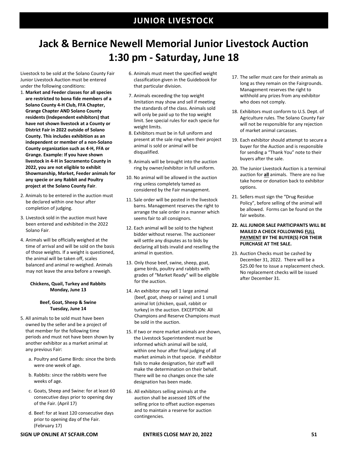## **Jack & Bernice Newell Memorial Junior Livestock Auction 1:30 pm - Saturday, June 18**

Livestock to be sold at the Solano County Fair Junior Livestock Auction must be entered under the following conditions:

- 1. **Market and Feeder classes for all species are restricted to bona fide members of a Solano County 4-H Club, FFA Chapter, Grange Chapter AND Solano County residents (Independent exhibitors) that have not shown livestock at a County or District Fair in 2022 outside of Solano County. This includes exhibition as an independent or member of a non-Solano County organization such as 4-H, FFA or Grange. Example: If you have shown livestock in 4-H in Sacramento County in 2022, you are not eligible to exhibit Showmanship, Market, Feeder animals for any specie or any Rabbit and Poultry project at the Solano County Fair**.
- 2. Animals to be entered in the auction must be declared within one hour after completion of judging.
- 3. Livestock sold in the auction must have been entered and exhibited in the 2022 Solano Fair.
- 4. Animals will be officially weighed at the time of arrival and will be sold on the basis of those weights. If a weight is questioned, the animal will be taken off, scales balanced and animal re-weighed. Animals may not leave the area before a reweigh.

### **Chickens, Quail, Turkey and Rabbits Monday, June 13**

### **Beef, Goat, Sheep & Swine Tuesday, June 14**

- 5. All animals to be sold must have been owned by the seller and be a project of that member for the following time periods and must not have been shown by another exhibitor as a market animal at any previous Fair:
	- a. Poultry and Game Birds: since the birds were one week of age.
	- b. Rabbits: since the rabbits were five weeks of age.
	- c. Goats, Sheep and Swine: for at least 60 consecutive days prior to opening day of the Fair. (April 17)
	- d. Beef: for at least 120 consecutive days prior to opening day of the Fair. (February 17)
- 6. Animals must meet the specified weight classification given in the Guidebook for that particular division.
- 7. Animals exceeding the top weight limitation may show and sell if meeting the standards of the class. Animals sold will only be paid up to the top weight limit. See special rules for each specie for weight limits.
- 8. Exhibitors must be in full uniform and present at the sale ring when their project animal is sold or animal will be disqualified.
- 9. Animals will be brought into the auction ring by owner/exhibitor in full uniform.
- 10. No animal will be allowed in the auction ring unless completely tamed as considered by the Fair management.
- 11. Sale order will be posted in the livestock barns. Management reserves the right to arrange the sale order in a manner which seems fair to all consignors.
- 12. Each animal will be sold to the highest bidder without reserve. The auctioneer will settle any disputes as to bids by declaring all bids invalid and reselling the animal in question.
- 13. Only those beef, swine, sheep, goat, game birds, poultry and rabbits with grades of "Market Ready" will be eligible for the auction.
- 14. An exhibitor may sell 1 large animal (beef, goat, sheep or swine) and 1 small animal lot (chicken, quail, rabbit or turkey) in the auction. EXCEPTION: All Champions and Reserve Champions must be sold in the auction.
- 15. If two or more market animals are shown, the Livestock Superintendent must be informed which animal will be sold, within one hour after final judging of all market animals in that specie. If exhibitor fails to make designation, fair staff will make the determination on their behalf. There will be no changes once the sale designation has been made.
- 16. All exhibitors selling animals at the auction shall be assessed 10% of the selling price to offset auction expenses and to maintain a reserve for auction contingencies.
- 17. The seller must care for their animals as long as they remain on the Fairgrounds. Management reserves the right to withhold any prizes from any exhibitor who does not comply.
- 18. Exhibitors must conform to U.S. Dept. of Agriculture rules. The Solano County Fair will not be responsible for any rejection of market animal carcasses.
- 19. Each exhibitor should attempt to secure a buyer for the Auction and is responsible for sending a "Thank You" note to their buyers after the sale.
- 20. The Junior Livestock Auction is a terminal auction for **all** animals. There are no live take home or donation back to exhibitor options.
- 21. Sellers must sign the "Drug Residue Policy", before selling of the animal will be allowed. Forms can be found on the fair website.
- **22. ALL JUNIOR SALE PARTICIPANTS WILL BE MAILED A CHECK FOLLOWING FULL PAYMENT BY THE BUYER(S) FOR THEIR PURCHASE AT THE SALE.**
- 23. Auction Checks must be cashed by December 31, 2022. There will be a \$25.00 fee to issue a replacement check. No replacement checks will be issued after December 31.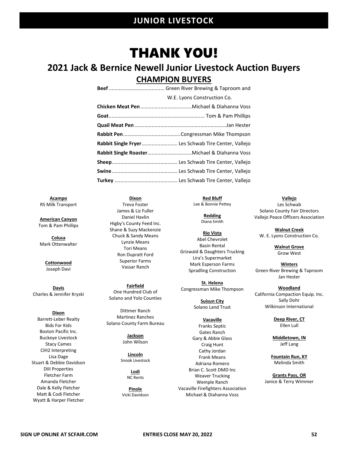## THANK YOU!

## **2021 Jack & Bernice Newell Junior Livestock Auction Buyers CHAMPION BUYERS**

| W.E. Lyons Construction Co.                         |
|-----------------------------------------------------|
|                                                     |
|                                                     |
|                                                     |
|                                                     |
| Rabbit Single Fryer Les Schwab Tire Center, Vallejo |
|                                                     |
|                                                     |
|                                                     |
|                                                     |

**Acampo** RS Milk Transport

**American Canyon** Tom & Pam Phillips

**Colusa** Mark Ottenwalter

> **Cottonwood** Joseph Davi

**Davis** Charles & Jennifer Kryski

**Dixon** Barrett-Leber Realty Bids For Kids Boston Pacific Inc. Buckeye Livestock Stacy Cames CIH2 Interpreting Lisa Dage Stuart & Debbie Davidson DIII Properties Fletcher Farm Amanda Fletcher Dale & Kelly Fletcher Matt & Codi Fletcher Wyatt & Harper Fletcher

**Dixon** Treva Foster James & Liz Fuller Daniel Havlin Higby's County Feed Inc. Shane & Suzy Mackenzie Chuck & Sandy Means Lynzie Means Tori Means Ron Dupratt Ford Superior Farms Vassar Ranch

**Fairfield** One Hundred Club of Solano and Yolo Counties

Dittmer Ranch Martinez Ranches Solano County Farm Bureau

> **Jackson** John Wilson

**Lincoln** Snook Livestock

> **Lodi** NC Rents

**Pinole** Vicki Davidson

**Red Bluff** Lee & Bonnie Pettey

> **Redding** Diana Smith

**Rio Vista** Abel Chevrolet Basin Rental Grizwald & Daughters Trucking Lira's Supermarket Mark Esperson Farms Spradling Construction

**St. Helena** Congressman Mike Thompson

> **Suisun City** Solano Land Trust

**Vacaville** Franks Septic Gates Ranch Gary & Abbie Glass Craig Hunt Cathy Jordan Frank Means Adriana Romero Brian C. Scott DMD Inc Weaver Trucking Wemple Ranch Vacaville Firefighters Association Michael & Diahanna Voss

**Vallejo** Les Schwab Solano County Fair Directors Vallejo Peace Officers Association

**Walnut Creek** W. E. Lyons Construction Co.

> **Walnut Grove** Grow West

**Winters** Green River Brewing & Taproom Jan Hester

**Woodland** California Compaction Equip. Inc. Sally Dohr Wilkinson International

> **Deep River, CT** Ellen Lull

**Middletown, IN** Jeff Lang

**Fountain Run, KY** Melinda Smith

**Grants Pass, OR** Janice & Terry Wimmer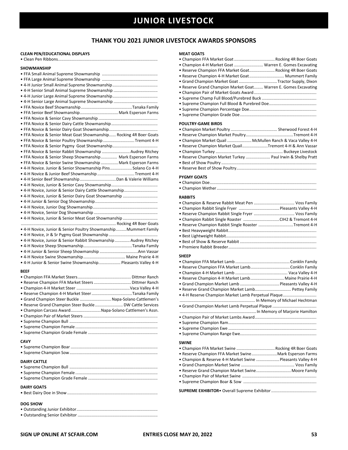### **THANK YOU 2021 JUNIOR LIVESTOCK AWARDS SPONSORS**

### **CLEAN PEN/EDUCATIONAL DISPLAYS**

|--|--|

### **SHOWMANSHIP**

| SHUWIVIANSHIP                                                     |
|-------------------------------------------------------------------|
|                                                                   |
|                                                                   |
|                                                                   |
|                                                                   |
|                                                                   |
|                                                                   |
|                                                                   |
| · FFA Senior Beef Showmanship Mark Esperson Farms                 |
|                                                                   |
|                                                                   |
|                                                                   |
|                                                                   |
| . FFA Novice & Senior Meat Goat Showmanship Rocking 4R Boer Goats |
| . FFA Novice & Senior Poultry Showmanship Tremont 4-H             |
|                                                                   |
| . FFA Novice & Senior Rabbit Showmanship  Audrey Ritchey          |
| • FFA Novice & Senior Sheep Showmanship Mark Esperson Farms       |
| . FFA Novice & Senior Swine Showmanship  Mark Esperson Farms      |
| • 4-H Novice. Junior & Senior Showmanship Pins Solano Co 4-H      |
| • 4-H Novice & Junior Beef Showmanship Tremont 4-H                |
| • 4-H Senior Beef Showmanship  Dan & Valerie Williams             |
|                                                                   |
| • 4-H Novice, Junior & Senior Dairy Cattle Showmanship            |
| • 4-H Novice, Junior & Senior Dairy Goat Showmanship              |
|                                                                   |
|                                                                   |
|                                                                   |
|                                                                   |
|                                                                   |
| • 4-H Novice, Junior & Senior Meat Goat Showmanship               |
|                                                                   |
| • 4-H Novice, Junior & Senior Poultry Showmanship Mummert Family  |
|                                                                   |
| • 4-H Novice, Junior & Senior Rabbit Showmanship  Audrey Ritchey  |
|                                                                   |
|                                                                   |
|                                                                   |
| • 4-H Junior & Senior Swine Showmanship Pleasants Valley 4-H      |
|                                                                   |
| <b>BEEF</b>                                                       |
|                                                                   |
|                                                                   |
|                                                                   |
| · Reserve Champion 4-H Market Steer Tanaka Family                 |
| · Grand Champion Steer Buckle  Napa-Solano Cattlemen's            |
| · Reserve Grand Champion Steer Buckle  DW Cattle Services         |
| • Champion Carcass AwardNapa-Solano Cattlemen's Assn.             |
|                                                                   |
|                                                                   |
|                                                                   |
|                                                                   |

### **CAVY**

| <b>DAIRY CATTLE</b> |
|---------------------|
| DAIRY GOATS         |

### **DOG SHOW**

|--|--|

• Outstanding Senior Exhibitor .....................................................................

### **MEAT GOATS**

| <b>MEAI GOAIS</b>                                               |  |
|-----------------------------------------------------------------|--|
| • Champion FFA Market Goat  Rocking 4R Boer Goats               |  |
| • Champion 4-H Market Goat  Warren E. Gomes Excavating          |  |
| . Reserve Champion FFA Market Goat Rocking 4R Boer Goats        |  |
| • Reserve Champion 4-H Market Goat Mummert Family               |  |
| • Grand Champion Market Goat Tractor Supply, Dixon              |  |
| . Reserve Grand Champion Market Goat Warren E. Gomes Excavating |  |
|                                                                 |  |
|                                                                 |  |
|                                                                 |  |
|                                                                 |  |
|                                                                 |  |
|                                                                 |  |
| <b>POULTRY-GAME BIRDS</b>                                       |  |
|                                                                 |  |
|                                                                 |  |
| • Champion Market Quail  McMullen Ranch & Vaca Valley 4-H       |  |
| • Reserve Champion Market QuailTremont 4-H & Ann Vassar         |  |
|                                                                 |  |
|                                                                 |  |
| . Reserve Champion Market Turkey  Paul Irwin & Shelby Pratt     |  |
|                                                                 |  |
|                                                                 |  |
| <b>PYGMY GOATS</b>                                              |  |
|                                                                 |  |
|                                                                 |  |
|                                                                 |  |
| <b>RABBITS</b>                                                  |  |
|                                                                 |  |
|                                                                 |  |
|                                                                 |  |
|                                                                 |  |
| • Champion Rabbit Single Roaster CIH2 & Tremont 4-H             |  |
| . Reserve Champion Rabbit Single Roaster Tremont 4-H            |  |
|                                                                 |  |
|                                                                 |  |
|                                                                 |  |
|                                                                 |  |
| <b>SHEEP</b>                                                    |  |
|                                                                 |  |
|                                                                 |  |
|                                                                 |  |
|                                                                 |  |
| · Reserve Champion 4-H Market Lamb Maine Prairie 4-H            |  |
|                                                                 |  |
| . Reserve Grand Champion Market Lamb Pettey Family              |  |
| • 4-H Reserve Champion Market Lamb Perpetual Plaque             |  |
|                                                                 |  |
|                                                                 |  |
|                                                                 |  |
|                                                                 |  |
|                                                                 |  |
|                                                                 |  |
|                                                                 |  |
|                                                                 |  |
| <b>SWINE</b>                                                    |  |
| • Champion FFA Market Swine  Rocking 4R Boer Goats              |  |
| . Reserve Champion FFA Market Swine Mark Esperson Farms         |  |
| • Champion & Reserve 4-H Market Swine  Pleasants Valley 4-H     |  |
|                                                                 |  |
| . Reserve Grand Champion Market Swine Moore Family              |  |
|                                                                 |  |
|                                                                 |  |
|                                                                 |  |
|                                                                 |  |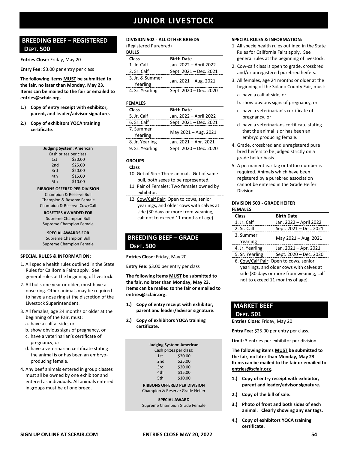### **BREEDING BEEF – REGISTERED DEPT. 500**

**Entries Close:** Friday, May 20

**Entry Fee:** \$3.00 per entry per class

**The following items MUST be submitted to the fair, no later than Monday, May 23. Items can be mailed to the fair or emailed to [entries@scfair.org.](mailto:entries@scfair.org)**

- **1.) Copy of entry receipt with exhibitor, parent, and leader/advisor signature.**
- **2.) Copy of exhibitors YQCA training certificate.**

| <b>Judging System: American</b> |                        |
|---------------------------------|------------------------|
|                                 | Cash prizes per class: |
| 1st                             | \$30.00                |
| 2 <sub>nd</sub>                 | \$25.00                |
| 3rd                             | \$20.00                |
| 4th                             | \$15.00                |
| 5th                             | \$10.00                |

**RIBBONS OFFERED PER DIVISION** Champion & Reserve Bull Champion & Reserve Female Champion & Reserve Cow/Calf

**ROSETTES AWARDED FOR** Supreme Champion Bull Supreme Champion Female

**SPECIAL AWARDS FOR** Supreme Champion Bull Supreme Champion Female

### **SPECIAL RULES & INFORMATION:**

- 1. All specie health rules outlined in the State Rules for California Fairs apply. See general rules at the beginning of livestock.
- 2. All bulls one year or older, must have a nose ring. Other animals may be required to have a nose ring at the discretion of the Livestock Superintendent.
- 3. All females, age 24 months or older at the beginning of the Fair, must:
	- a. have a calf at side, or
	- b. show obvious signs of pregnancy, or
	- c. have a veterinarian's certificate of pregnancy, or
	- d. have a veterinarian certificate stating the animal is or has been an embryoproducing female.
- 4. Any beef animals entered in group classes must all be owned by one exhibitor and entered as individuals. All animals entered in groups must be of one breed.

### **DIVISION 502 - ALL OTHER BREEDS**

(Registered Purebred) **BULLS**

| DULLS                       |                        |
|-----------------------------|------------------------|
| <b>Class</b>                | <b>Birth Date</b>      |
| 1. Jr. Calf                 | Jan. 2022 - April 2022 |
| 2. Sr. Calf                 | Sept. 2021 - Dec. 2021 |
| 3. Jr. & Summer<br>Yearling | Jan. 2021 - Aug. 2021  |
| 4. Sr. Yearling             | Sept. 2020 - Dec. 2020 |
|                             |                        |

### **FEMALES**

| <b>Class</b>    | <b>Birth Date</b>      |
|-----------------|------------------------|
| 5. Jr. Calf     | Jan. 2022 - April 2022 |
| 6. Sr. Calf     | Sept. 2021 - Dec. 2021 |
| 7. Summer       | May 2021 - Aug. 2021   |
| Yearling        |                        |
| 8. Jr. Yearling | Jan. 2021 - Apr. 2021  |
| 9. Sr. Yearling | Sept. 2020 - Dec. 2020 |

### **GROUPS**

### **Class**

- 10. Get of Sire: Three animals. Get of same bull, both sexes to be represented.
- 11. Pair of Females: Two females owned by exhibitor.
- 12. Cow/Calf Pair: Open to cows, senior yearlings, and older cows with calves at side (30 days or more from weaning, calf not to exceed 11 months of age).

### **BREEDING BEEF – GRADE DEPT. 500**

**Entries Close:** Friday, May 20

**Entry Fee:** \$3.00 per entry per class

**The following items MUST be submitted to the fair, no later than Monday, May 23. Items can be mailed to the fair or emailed to [entries@scfair.org.](mailto:entries@scfair.org)**

- **1.) Copy of entry receipt with exhibitor, parent and leader/advisor signature.**
- **2.) Copy of exhibitors YQCA training certificate.**

| <b>Judging System: American</b> |         |
|---------------------------------|---------|
| Cash prizes per class:          |         |
| 1st                             | \$30.00 |
| 2 <sub>nd</sub>                 | \$25.00 |
| 3rd                             | \$20.00 |
| 4th                             | \$15.00 |
| 5th                             | \$10.00 |
|                                 |         |

**RIBBONS OFFERED PER DIVISION** Champion & Reserve Grade Heifer

### **SPECIAL AWARD**

Supreme Champion Grade Female

### **SPECIAL RULES & INFORMATION:**

- 1. All specie health rules outlined in the State Rules for California Fairs apply. See general rules at the beginning of livestock.
- 2. Cow-calf class is open to grade, crossbred and/or unregistered purebred heifers.
- 3. All females, age 24 months or older at the beginning of the Solano County Fair, must:
	- a. have a calf at side, or
	- b. show obvious signs of pregnancy, or
	- c. have a veterinarian's certificate of pregnancy, or
	- d. have a veterinarians certificate stating that the animal is or has been an embryo producing female.
- 4. Grade, crossbred and unregistered pure bred heifers to be judged strictly on a grade heifer basis.
- 5. A permanent ear tag or tattoo number is required. Animals which have been registered by a purebred association cannot be entered in the Grade Heifer Division.

#### **DIVISION 503 - GRADE HEIFER FEMALES**

| <b>Class</b>    | <b>Birth Date</b>      |
|-----------------|------------------------|
| 1. Jr. Calf     | Jan. 2022 - April 2022 |
| 2. Sr. Calf     | Sept. 2021 - Dec. 2021 |
| 3. Summer       | May 2021 - Aug. 2021   |
| Yearling        |                        |
| 4. Jr. Yearling | Jan. 2021 - Apr. 2021  |
| 5 Sr Yearling   | $Sent 2020 - Der 2020$ |

- $5ept.$  2020 Dec. 2020 6. Cow/Calf Pair: Open to cows, senior
	- yearlings, and older cows with calves at side (30 days or more from weaning, calf not to exceed 11 months of age).

### **MARKET BEEF**

### **DEPT. 501**

**Entries Close:** Friday, May 20

**Entry Fee:** \$25.00 per entry per class.

**Limit:** 3 entries per exhibitor per division

**The following items MUST be submitted to the fair, no later than Monday, May 23. Items can be mailed to the fair or emailed to [entries@scfair.org.](mailto:entries@scfair.org)**

- **1.) Copy of entry receipt with exhibitor, parent and leader/advisor signature.**
- **2.) Copy of the bill of sale.**
- **3.) Photo of front and both sides of each animal. Clearly showing any ear tags.**
- **4.) Copy of exhibitors YQCA training certificate.**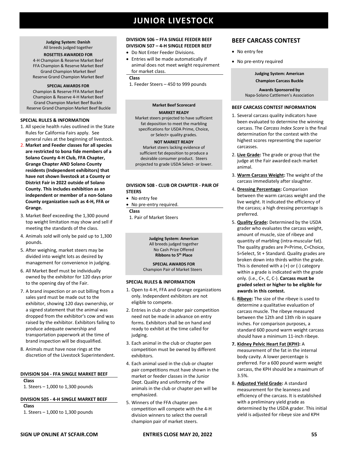**Judging System: Danish** All breeds judged together

### **ROSETTES AWARDED FOR**

4-H Champion & Reserve Market Beef FFA Champion & Reserve Market Beef Grand Champion Market Beef Reserve Grand Champion Market Beef

#### **SPECIAL AWARDS FOR**

Champion & Reserve FFA Market Beef Champion & Reserve 4-H Market Beef Grand Champion Market Beef Buckle Reserve Grand Champion Market Beef Buckle

#### **SPECIAL RULES & INFORMATION**

- 1. All specie health rules outlined in the State Rules for California Fairs apply. See general rules at the beginning of livestock.
- 2. **Market and Feeder classes for all species are restricted to bona fide members of a Solano County 4-H Club, FFA Chapter, Grange Chapter AND Solano County residents (Independent exhibitors) that have not shown livestock at a County or District Fair in 2022 outside of Solano County. This includes exhibition as an independent or member of a non-Solano County organization such as 4-H, FFA or Grange.**
- 3. Market Beef exceeding the 1,300 pound top weight limitation may show and sell if meeting the standards of the class.
- 4. Animals sold will only be paid up to 1,300 pounds.
- 5. After weighing, market steers may be divided into weight lots as desired by management for convenience in judging.
- 6. All Market Beef must be individually owned by the exhibitor for 120 days prior to the opening day of the Fair.
- 7. A brand inspection or an out billing from a sales yard must be made out to the exhibitor, showing 120 days ownership, or a signed statement that the animal was dropped from the exhibitor's cow and was raised by the exhibitor. Exhibitors failing to produce adequate ownership and transportation paperwork at the time of brand inspection will be disqualified.
- 8. Animals must have nose rings at the discretion of the Livestock Superintendent.

#### **DIVISION 504 - FFA SINGLE MARKET BEEF Class**

1. Steers – 1,000 to 1,300 pounds

#### **DIVISION 505 - 4-H SINGLE MARKET BEEF Class**

1. Steers – 1,000 to 1,300 pounds

#### **DIVISION 506 – FFA SINGLE FEEDER BEEF DIVISION 507 – 4-H SINGLE FEEDER BEEF**

- Do Not Enter Feeder Divisions.
- Entries will be made automatically if animal does not meet weight requirement for market class.

#### **Class**

1. Feeder Steers – 450 to 999 pounds

### **Market Beef Scorecard MARKET READY**

Market steers projected to have sufficient fat deposition to meet the marbling specifications for USDA Prime, Choice, or Select+ quality grades.

### **NOT MARKET READY**

Market steers lacking evidence of sufficient fat deposition to produce a desirable consumer product. Steers projected to grade USDA Select- or lower.

### **DIVISION 508 - CLUB OR CHAPTER - PAIR OF STEERS**

- No entry fee
- No pre-entry required.

**Class**

1. Pair of Market Steers

#### **Judging System: American** All breeds judged together No Cash Prize Offered **Ribbons to 5th Place**

**SPECIAL AWARDS FOR**  Champion Pair of Market Steers

#### **SPECIAL RULES & INFORMATION**

- 1. Open to 4-H, FFA and Grange organizations only. Independent exhibitors are not eligible to compete.
- 2. Entries in club or chapter pair competition need not be made in advance on entry forms. Exhibitors shall be on hand and ready to exhibit at the time called for judging.
- 3. Each animal in the club or chapter pen competition must be owned by different exhibitors.
- 4. Each animal used in the club or chapter pair competitions must have shown in the market or feeder classes in the Junior Dept. Quality and uniformity of the animals in the club or chapter pen will be emphasized.
- 5. Winners of the FFA chapter pen competition will compete with the 4-H division winners to select the overall champion pair of market steers.

### **BEEF CARCASS CONTEST**

- No entry fee
- No pre-entry required

**Judging System: American Champion Carcass Buckle**

**Awards Sponsored by**  Napa-Solano Cattlemen's Association

### **BEEF CARCASS CONTEST INFORMATION**

- 1. Several carcass quality indicators have been evaluated to determine the winning carcass. The *Carcass Index Score* is the final determination for the contest with the highest scores representing the superior carcasses.
- 2. **Live Grade:** The grade or group that the judge at the Fair awarded each market animal.
- 3. **Warm Carcass Weight:** The weight of the carcass immediately after slaughter.
- 4. **Dressing Percentage:** Comparison between the warm carcass weight and the live weight. It indicated the efficiency of the carcass; a high dressing percentage is preferred.
- 5. **Quality Grade:** Determined by the USDA grader who evaluates the carcass weight, amount of muscle, size of ribeye and quantity of marbling (intra-muscular fat). The quality grades are P=Prime, C=Choice, S=Select, St + Standard. Quality grades are broken down into thirds within the grade. This is denoted with a  $(+)$  or  $(-)$  category within a grade is indicated with the grade only. (i.e., C+, C, C-). **Carcass must be graded select or higher to be eligible for awards in this contest.**
- 6. **Ribeye:** The size of the ribeye is used to determine a qualitative evaluation of carcass muscle. The ribeye measured between the 12th and 13th rib in square inches. For comparison purposes, a standard 600 pound warm weight carcass should have a minimum 11-inch ribeye.
- **7. Kidney Pelvic Heart Fat (KPH):** A measurement of the fat in the internal body cavity. A lower percentage is preferred. For a 600 pound warm weight carcass, the KPH should be a maximum of 3.5%.
- 8. **Adjusted Yield Grade:** A standard measurement for the leanness and efficiency of the carcass. It is established with a preliminary yield grade as determined by the USDA grader. This initial yield is adjusted for ribeye size and KPH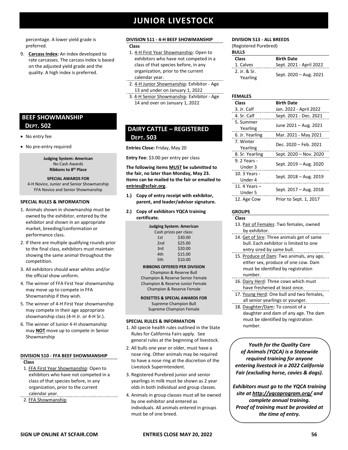percentage. A lower yield grade is preferred.

9. **Carcass Index:** An index developed to rate carcasses. The carcass index is based on the adjusted yield grade and the quality. A high index is preferred.

### **BEEF SHOWMANSHIP DEPT. 502**

- No entry fee
- No pre-entry required

**Judging System: American** No Cash Awards **Ribbons to 8th Place**

#### **SPECIAL AWARDS FOR**

4-H Novice, Junior and Senior Showmanship FFA Novice and Senior Showmanship

### **SPECIAL RULES & INFORMATION**

- 1. Animals shown in showmanship must be owned by the exhibitor, entered by the exhibitor and shown in an appropriate market, breeding/conformation or performance class.
- 2. If there are multiple qualifying rounds prior to the final class, exhibitors must maintain showing the same animal throughout the competition.
- 3. All exhibitors should wear whites and/or the official show uniform.
- 4. The winner of FFA First Year showmanship may move up to compete in FFA Showmanship if they wish.
- 5. The winner of 4-H First Year showmanship may compete in their age appropriate showmanship class (4-H Jr. or 4-H Sr.).
- 6. The winner of Junior 4-H showmanship may **NOT** move up to compete in Senior Showmanship

### **DIVISION 510 - FFA BEEF SHOWMANSHIP**

- **Class**
- 1. FFA First Year Showmanship: Open to exhibitors who have not competed in a class of that species before, in any organization, prior to the current calendar year.
- 2. FFA Showmanship

### **DIVISION 511 - 4-H BEEF SHOWMANSHIP**

- **Class**
- 1. 4-H First Year Showmanship: Open to exhibitors who have not competed in a class of that species before, in any organization, prior to the current calendar year.
- 2. 4-H Junior Showmanship: Exhibitor Age 13 and under on January 1, 2022
- 3. 4-H Senior Showmanship: Exhibitor Age 14 and over on January 1, 2022

### **DAIRY CATTLE – REGISTERED DEPT. 503**

**Entries Close:** Friday, May 20

**Entry Fee:** \$3.00 per entry per class

**The following items MUST be submitted to the fair, no later than Monday, May 23. Items can be mailed to the fair or emailed to [entries@scfair.org.](mailto:entries@scfair.org)**

- **1.) Copy of entry receipt with exhibitor, parent, and leader/advisor signature.**
- **2.) Copy of exhibitors YQCA training certificate.**

| Judging System: American |                        |  |
|--------------------------|------------------------|--|
|                          | Cash prizes per class: |  |
| 1st                      | \$30.00                |  |
| 2 <sub>nd</sub>          | \$25.00                |  |
| 3rd                      | \$20.00                |  |
| 4th                      | \$15.00                |  |
| 5th                      | \$10.00                |  |

### **RIBBONS OFFERED PER DIVISION**

Champion & Reserve Bull Champion & Reserve Senior Female Champion & Reserve Junior Female Champion & Reserve Female

**ROSETTES & SPECIAL AWARDS FOR**  Supreme Champion Bull Supreme Champion Female

### **SPECIAL RULES & INFORMATION**

- 1. All specie health rules outlined in the State Rules for California Fairs apply. See general rules at the beginning of livestock.
- 2. All bulls one year or older, must have a nose ring. Other animals may be required to have a nose ring at the discretion of the Livestock Superintendent.
- 3. Registered Purebred junior and senior yearlings in milk must be shown as 2 year olds in both individual and group classes.
- 4. Animals in group classes must all be owned by one exhibitor and entered as individuals. All animals entered in groups must be of one breed.

### **DIVISION 513 - ALL BREEDS**

(Registered Purebred)

| <b>BULLS</b>             |                         |
|--------------------------|-------------------------|
| <b>Class</b>             | <b>Birth Date</b>       |
| 1. Calves                | Sept. 2021 - April 2022 |
| 2. Ir. & Sr.<br>Yearling | Sept. 2020 - Aug. 2021  |

### **FEMALES**

| Class                    | <b>Birth Date</b>      |
|--------------------------|------------------------|
| 3. Jr. Calf              | Jan. 2022 - April 2022 |
| 4. Sr. Calf              | Sept. 2021 - Dec. 2021 |
| 5. Summer<br>Yearling    | June 2021 - Aug. 2021  |
| 6. Jr. Yearling          | Mar. 2021 - May 2021   |
| 7. Winter<br>Yearling    | Dec. 2020 - Feb. 2021  |
| 8. Sr. Yearling          | Sept. 2020 - Nov. 2020 |
| 9. 2 Years -<br>Under 3  | Sept. 2019 - Aug. 2020 |
| 10. 3 Years -<br>Under 4 | Sept. 2018 - Aug. 2019 |
| 11.4 Years -<br>Under 5  | Sept. 2017 - Aug. 2018 |
| 12. Age Cow              | Prior to Sept. 1, 2017 |

### **GROUPS**

| <b>Class</b>                            |
|-----------------------------------------|
| 13. Pair of Females: Two females, owned |
| by exhibitor.                           |

14. Get of Sire: Three animals get of same bull. Each exhibitor is limited to one entry sired by same bull.

- 15. Produce of Dam: Two animals, any age, either sex, produce of one cow. Dam must be identified by registration number.
- 16. Dairy Herd: Three cows which must have freshened at least once.
- 17. Young Herd: One bull and two females, all senior yearlings or younger.
- 18. Daughter/Dam: To consist of a daughter and dam of any age. The dam must be identified by registration number.

*Youth for the Quality Care of Animals (YQCA) is a Statewide required training for anyone entering livestock in a 2022 California Fair (excluding horse, cavies & dogs).*

*Exhibitors must go to the YQCA training site at [http://yqcaprogram.org/](http://yqca.org/) and complete annual training. Proof of training must be provided at the time of entry.*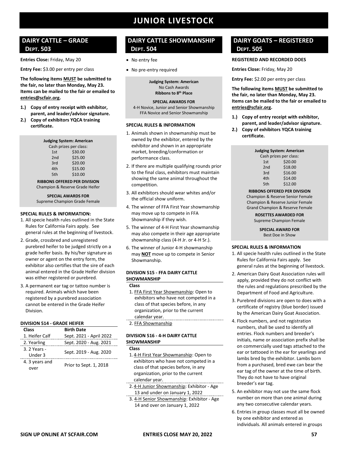### **DAIRY CATTLE – GRADE DEPT. 503**

**Entries Close:** Friday, May 20

**Entry Fee:** \$3.00 per entry per class

**The following items MUST be submitted to the fair, no later than Monday, May 23. Items can be mailed to the fair or emailed to [entries@scfair.org.](mailto:entries@scfair.org)**

- **1.) Copy of entry receipt with exhibitor, parent, and leader/advisor signature.**
- **2.) Copy of exhibitors YQCA training certificate.**

|                 | <b>Judging System: American</b> |
|-----------------|---------------------------------|
|                 | Cash prizes per class:          |
| 1st             | \$30.00                         |
| 2 <sub>nd</sub> | \$25.00                         |
| 3rd             | \$20.00                         |
| 4th             | \$15.00                         |
| 5th             | \$10.00                         |
|                 |                                 |

### **RIBBONS OFFERED PER DIVISION** Champion & Reserve Grade Heifer

### **SPECIAL AWARDS FOR**  Supreme Champion Grade Female

### **SPECIAL RULES & INFORMATION:**

- 1. All specie health rules outlined in the State Rules for California Fairs apply. See general rules at the beginning of livestock.
- 2. Grade, crossbred and unregistered purebred heifer to be judged strictly on a grade heifer basis. By his/her signature as owner or agent on the entry form, the exhibitor also certifies that the sire of each animal entered in the Grade Heifer division was either registered or purebred.
- 3. A permanent ear tag or tattoo number is required. Animals which have been registered by a purebred association cannot be entered in the Grade Heifer Division.

#### **DIVISION 514 - GRADE HEIFER**

| Class          | <b>Birth Date</b>       |
|----------------|-------------------------|
| 1. Heifer Calf | Sept. 2021 - April 2022 |
| 2. Yearling    | Sept. 2020 - Aug. 2021  |
| 3. 2 Years -   |                         |
| Under 3        | Sept. 2019 - Aug. 2020  |
| 4. 3 years and |                         |
| over           | Prior to Sept. 1, 2018  |

### **DAIRY CATTLE SHOWMANSHIP DEPT. 504**

- No entry fee
- No pre-entry required

**Judging System: American** No Cash Awards **Ribbons to 8th Place**

#### **SPECIAL AWARDS FOR**

4-H Novice, Junior and Senior Showmanship FFA Novice and Senior Showmanship

### **SPECIAL RULES & INFORMATION**

- 1. Animals shown in showmanship must be owned by the exhibitor, entered by the exhibitor and shown in an appropriate market, breeding/conformation or performance class.
- 2. If there are multiple qualifying rounds prior to the final class, exhibitors must maintain showing the same animal throughout the competition.
- 3. All exhibitors should wear whites and/or the official show uniform.
- 4. The winner of FFA First Year showmanship may move up to compete in FFA Showmanship if they wish.
- 5. The winner of 4-H First Year showmanship may also compete in their age appropriate showmanship class (4-H Jr. or 4-H Sr.).
- 6. The winner of Junior 4-H showmanship may **NOT** move up to compete in Senior Showmanship.

### **DIVISION 515 - FFA DAIRY CATTLE SHOWMANSHIP**

#### **Class**

- 1. FFA First Year Showmanship: Open to exhibitors who have not competed in a class of that species before, in any organization, prior to the current calendar year.
- 2. FFA Showmanship

### **DIVISION 516 - 4-H DAIRY CATTLE SHOWMANSHIP**

**Class**

- 1. 4-H First Year Showmanship: Open to exhibitors who have not competed in a class of that species before, in any organization, prior to the current calendar year.
- 2. 4-H Junior Showmanship: Exhibitor Age 13 and under on January 1, 2022
- 3. 4-H Senior Showmanship: Exhibitor Age 14 and over on January 1, 2022

### **DAIRY GOATS – REGISTERED DEPT. 505**

### **REGISTERED AND RECORDED DOES**

**Entries Close:** Friday, May 20

**Entry Fee:** \$2.00 per entry per class

**The following items MUST be submitted to the fair, no later than Monday, May 23. Items can be mailed to the fair or emailed to [entries@scfair.org.](mailto:entries@scfair.org)**

- **1.) Copy of entry receipt with exhibitor, parent, and leader/advisor signature.**
- **2.) Copy of exhibitors YQCA training certificate.**

| <b>Judging System: American</b> |                        |  |
|---------------------------------|------------------------|--|
|                                 | Cash prizes per class: |  |
| 1st                             | \$20.00                |  |
| 2 <sub>nd</sub>                 | \$18.00                |  |
| 3rd                             | \$16.00                |  |
| 4th                             | \$14.00                |  |
| 5th                             | \$12.00                |  |

**RIBBONS OFFERED PER DIVISION**

Champion & Reserve Senior Female Champion & Reserve Junior Female Grand Champion & Reserve Female

> **ROSETTES AWARDED FOR** Supreme Champion Female

> > **SPECIAL AWARD FOR**  Best Doe in Show

- 1. All specie health rules outlined in the State Rules for California Fairs apply. See general rules at the beginning of livestock.
- 2. American Dairy Goat Association rules will apply, provided they do not conflict with the rules and regulations prescribed by the Department of Food and Agriculture.
- 3. Purebred divisions are open to does with a certificate of registry (blue border) issued by the American Dairy Goat Association.
- 4. Flock numbers, and not registration numbers, shall be used to identify all entries. Flock numbers and breeder's initials, name or association prefix shall be on commercially used tags attached to the ear or tattooed in the ear for yearlings and lambs bred by the exhibitor. Lambs born from a purchased, bred ewe can bear the ear tag of the owner at the time of birth. They do not have to have original breeder's ear tag.
- 5. An exhibitor may not use the same flock number on more than one animal during any two consecutive calendar years.
- 6. Entries in group classes must all be owned by one exhibitor and entered as individuals. All animals entered in groups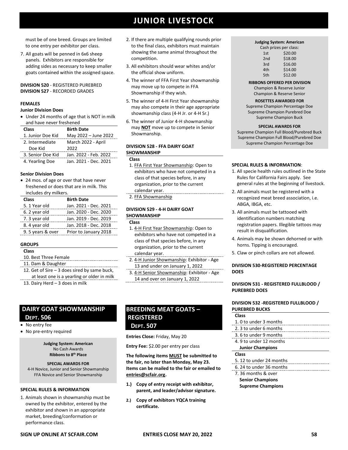must be of one breed. Groups are limited to one entry per exhibitor per class.

7. All goats will be penned in 6x6 sheep panels. Exhibitors are responsible for adding sides as necessary to keep smaller goats contained within the assigned space.

### **DIVISION 520** - REGISTERED PUREBRED **DIVISION 527** - RECORDED GRADES

### **FEMALES**

### **Junior Division Does**

• Under 24 months of age that is NOT in milk and have never freshened

| Class             | <b>Birth Date</b>     |
|-------------------|-----------------------|
| 1. Junior Doe Kid | May 2022 - June 2022  |
| 2. Intermediate   | March 2022 - April    |
| Doe Kid           | 2022                  |
| 3. Senior Doe Kid | Jan. 2022 - Feb. 2022 |
| 4. Yearling Doe   | Jan. 2021 - Dec. 2021 |

#### **Senior Division Does**

• 24 mos. of age or over that have never freshened or does that are in milk. This includes dry milkers.

| <b>Class</b>      | <b>Birth Date</b>     |
|-------------------|-----------------------|
| 5. 1 Year old     | Jan. 2021 - Dec. 2021 |
| 6. 2 year old     | Jan. 2020 - Dec. 2020 |
| 7. 3 year old     | Jan. 2019 - Dec. 2019 |
| 8.4 year old      | Jan. 2018 - Dec. 2018 |
| 9. 5 years & over | Prior to January 2018 |
|                   |                       |

### **GROUPS**

- **Class**
- 10. Best Three Female 11. Dam & Daughter
- 12. Get of Sire 3 does sired by same buck, at least one is a yearling or older in milk
- 13. Dairy Herd 3 does in milk

### **DAIRY GOAT SHOWMANSHIP DEPT. 506**

- No entry fee
- No pre-entry required

#### **Judging System: American** No Cash Awards **Ribbons to 8th Place**

**SPECIAL AWARDS FOR**  4-H Novice, Junior and Senior Showmanship FFA Novice and Senior Showmanship

### **SPECIAL RULES & INFORMATION**

1. Animals shown in showmanship must be owned by the exhibitor, entered by the exhibitor and shown in an appropriate market, breeding/conformation or performance class.

- 2. If there are multiple qualifying rounds prior to the final class, exhibitors must maintain showing the same animal throughout the competition.
- 3. All exhibitors should wear whites and/or the official show uniform.
- 4. The winner of FFA First Year showmanship may move up to compete in FFA Showmanship if they wish.
- 5. The winner of 4-H First Year showmanship may also compete in their age appropriate showmanship class (4-H Jr. or 4-H Sr.)
- 6. The winner of Junior 4-H showmanship may **NOT** move up to compete in Senior Showmanship.

### **DIVISION 528 - FFA DAIRY GOAT SHOWMANSHIP**

### **Class**

- 1. FFA First Year Showmanship: Open to exhibitors who have not competed in a class of that species before, in any organization, prior to the current calendar year.
- 2. FFA Showmanship

### **DIVISION 529 - 4-H DAIRY GOAT SHOWMANSHIP**

- **Class**
- 1. 4-H First Year Showmanship: Open to exhibitors who have not competed in a class of that species before, in any organization, prior to the current calendar year.
- 2. 4-H Junior Showmanship: Exhibitor Age 13 and under on January 1, 2022
- 3. 4-H Senior Showmanship: Exhibitor Age 14 and over on January 1, 2022

### **BREEDING MEAT GOATS – REGISTERED DEPT. 507**

### **Entries Close:** Friday, May 20

**Entry Fee:** \$2.00 per entry per class

**The following items MUST be submitted to the fair, no later than Monday, May 23. Items can be mailed to the fair or emailed to [entries@scfair.org.](mailto:entries@scfair.org)**

- **1.) Copy of entry receipt with exhibitor, parent, and leader/advisor signature.**
- **2.) Copy of exhibitors YQCA training certificate.**

#### **Judging System: American**

|     | Cash prizes per class: |
|-----|------------------------|
| 1st | \$20.00                |
| 2nd | \$18.00                |
| 3rd | \$16.00                |
| 4th | \$14.00                |
| 5th | \$12.00                |

### **RIBBONS OFFERED PER DIVISION**

Champion & Reserve Junior Champion & Reserve Senior

#### **ROSETTES AWARDED FOR**

Supreme Champion Percentage Doe Supreme Champion Purebred Doe Supreme Champion Buck

#### **SPECIAL AWARDS FOR**

Supreme Champion Full Blood/Purebred Buck Supreme Champion Full Blood/Purebred Doe Supreme Champion Percentage Doe

### **SPECIAL RULES & INFORMATION**:

- 1. All specie health rules outlined in the State Rules for California Fairs apply. See general rules at the beginning of livestock.
- 2. All animals must be registered with a recognized meat breed association, i.e. ABGA, IBGA, etc.
- 3. All animals must be tattooed with identification numbers matching registration papers. Illegible tattoos may result in disqualification.
- 4. Animals may be shown dehorned or with horns. Tipping is encouraged.
- 5. Claw or pinch collars are not allowed.

### **DIVISION 530-REGISTERED PERCENTAGE DOES**

### **DIVISION 531 - REGISTERED FULLBLOOD / PUREBRED DOES**

### **DIVISION 532 -REGISTERED FULLBLOOD / PUREBRED BUCKS**

| <b>Class</b>            |                        |  |
|-------------------------|------------------------|--|
| 1. 0 to under 3 months  |                        |  |
| 2. 3 to under 6 months  |                        |  |
| 3. 6 to under 9 months  |                        |  |
|                         | 4.9 to under 12 months |  |
| <b>Junior Champions</b> |                        |  |

### **Class**

- 5. 12 to under 24 months
- 6. 24 to under 36 months
- 7. 36 months & over **Senior Champions Supreme Champions**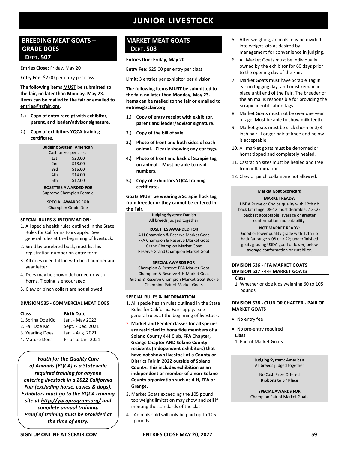### **BREEDING MEAT GOATS – GRADE DOES DEPT. 507**

**Entries Close:** Friday, May 20

**Entry Fee:** \$2.00 per entry per class

### **The following items MUST be submitted to the fair, no later than Monday, May 23. Items can be mailed to the fair or emailed to [entries@scfair.org.](mailto:entries@scfair.org)**

- **1.) Copy of entry receipt with exhibitor, parent, and leader/advisor signature.**
- **2.) Copy of exhibitors YQCA training certificate.**

| <b>Judging System: American</b> |                        |  |
|---------------------------------|------------------------|--|
|                                 | Cash prizes per class: |  |
| 1st                             | \$20.00                |  |
| 2 <sub>nd</sub>                 | \$18.00                |  |
| 3rd                             | \$16.00                |  |
| 4th                             | \$14.00                |  |
| 5th                             | \$12.00                |  |

**ROSETTES AWARDED FOR** Supreme Champion Female

**SPECIAL AWARDS FOR** Champion Grade Doe

### **SPECIAL RULES & INFORMATION**:

- 1. All specie health rules outlined in the State Rules for California Fairs apply. See general rules at the beginning of livestock.
- 2. Sired by purebred buck, must list his registration number on entry form.
- 3. All does need tattoo with herd number and year letter.
- 4. Does may be shown dehorned or with horns. Tipping is encouraged.
- 5. Claw or pinch collars are not allowed.

### **DIVISION 535 - COMMERCIAL MEAT DOES**

| Class             | <b>Birth Date</b>  |
|-------------------|--------------------|
| 1. Spring Doe Kid | Jan. - May 2022    |
| 2. Fall Doe Kid   | Sept. - Dec. 2021  |
| 3. Yearling Does  | Jan. - Aug. 2021   |
| 4. Mature Does    | Prior to Jan. 2021 |
|                   |                    |

*Youth for the Quality Care of Animals (YQCA) is a Statewide required training for anyone entering livestock in a 2022 California Fair (excluding horse, cavies & dogs). Exhibitors must go to the YQCA training site at [http://yqcaprogram.org/](http://yqca.org/) and complete annual training. Proof of training must be provided at the time of entry.*

### **MARKET MEAT GOATS DEPT. 508**

### **Entries Due: Friday, May 20**

**Entry Fee:** \$25.00 per entry per class

**Limit:** 3 entries per exhibitor per division

**The following items MUST be submitted to the fair, no later than Monday, May 23. Items can be mailed to the fair or emailed to [entries@scfair.org.](mailto:entries@scfair.org)**

- **1.) Copy of entry receipt with exhibitor, parent and leader/advisor signature.**
- **2.) Copy of the bill of sale.**
- **3.) Photo of front and both sides of each animal. Clearly showing any ear tags.**
- **4.) Photo of front and back of Scrapie tag on animal. Must be able to read numbers.**
- **5.) Copy of exhibitors YQCA training certificate.**

**Goats MUST be wearing a Scrapie flock tag from breeder or they cannot be entered in the Fair.**

> **Judging System: Danish** All breeds judged together

### **ROSETTES AWARDED FOR**

4-H Champion & Reserve Market Goat FFA Champion & Reserve Market Goat Grand Champion Market Goat Reserve Grand Champion Market Goat

### **SPECIAL AWARDS FOR**

Champion & Reserve FFA Market Goat Champion & Reserve 4-H Market Goat Grand & Reserve Champion Market Goat Buckle Champion Pair of Market Goats

### **SPECIAL RULES & INFORMATION**:

- 1. All specie health rules outlined in the State Rules for California Fairs apply. See general rules at the beginning of livestock.
- 2. **Market and Feeder classes for all species are restricted to bona fide members of a Solano County 4-H Club, FFA Chapter, Grange Chapter AND Solano County residents (Independent exhibitors) that have not shown livestock at a County or District Fair in 2022 outside of Solano County. This includes exhibition as an independent or member of a non-Solano County organization such as 4-H, FFA or Grange.**
- 3. Market Goats exceeding the 105 pound top weight limitation may show and sell if meeting the standards of the class.
- 4. Animals sold will only be paid up to 105 pounds.
- 5. After weighing, animals may be divided into weight lots as desired by management for convenience in judging.
- 6. All Market Goats must be individually owned by the exhibitor for 60 days prior to the opening day of the Fair.
- 7. Market Goats must have Scrapie Tag in ear on tagging day, and must remain in place until end of the Fair. The breeder of the animal is responsible for providing the Scrapie identification tags.
- 8. Market Goats must not be over one year of age. Must be able to show milk teeth.
- 9. Market goats must be slick shorn or 3/8 inch hair. Longer hair at knee and below is acceptable.
- 10. All market goats must be dehorned or horns tipped and completely healed.
- 11. Castration sites must be healed and free from inflammation.
- 12. Claw or pinch collars are not allowed.

### **Market Goat Scorecard**

#### **MARKET READY:**

USDA Prime or Choice quality with 12th rib back fat range .08-12 most desirable, .13-.22 back fat acceptable, average or greater conformation and cutability.

### **NOT MARKET READY:**

Good or lower quality grade with 12th rib back fat range <.08 or >.22; underfinished goats grading USDA good or lower, below average conformation or cutability.

### **DIVISION 536 - FFA MARKET GOATS DIVISION 537 - 4-H MARKET GOATS**

**Class**

.

1. Whether or doe kids weighing 60 to 105 pounds

### **DIVISION 538 - CLUB OR CHAPTER - PAIR OF MARKET GOATS**

- No entry fee
- No pre-entry required

**Class**

1. Pair of Market Goats

**Judging System: American** All breeds judged together

No Cash Prize Offered **Ribbons to 5th Place**

**SPECIAL AWARDS FOR** Champion Pair of Market Goats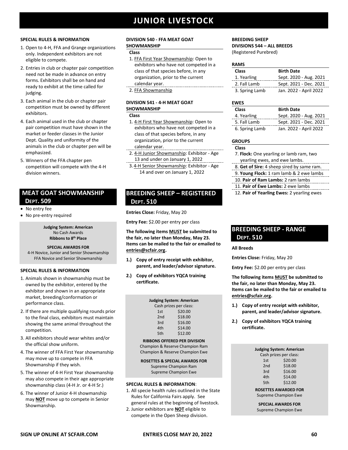### **SPECIAL RULES & INFORMATION**

- 1. Open to 4-H, FFA and Grange organizations only. Independent exhibitors are not eligible to compete.
- 2. Entries in club or chapter pair competition need not be made in advance on entry forms. Exhibitors shall be on hand and ready to exhibit at the time called for judging.
- 3. Each animal in the club or chapter pair competition must be owned by different exhibitors.
- 4. Each animal used in the club or chapter pair competition must have shown in the market or feeder classes in the Junior Dept. Quality and uniformity of the animals in the club or chapter pen will be emphasized.
- 5. Winners of the FFA chapter pen competition will compete with the 4-H division winners.

### **MEAT GOAT SHOWMANSHIP DEPT. 509**

- No entry fee
- No pre-entry required

**Judging System: American** No Cash Awards **Ribbons to 8th Place**

### **SPECIAL AWARDS FOR**

4-H Novice, Junior and Senior Showmanship FFA Novice and Senior Showmanship

### **SPECIAL RULES & INFORMATION**

- 1. Animals shown in showmanship must be owned by the exhibitor, entered by the exhibitor and shown in an appropriate market, breeding/conformation or performance class.
- 2. If there are multiple qualifying rounds prior to the final class, exhibitors must maintain showing the same animal throughout the competition.
- 3. All exhibitors should wear whites and/or the official show uniform.
- 4. The winner of FFA First Year showmanship may move up to compete in FFA Showmanship if they wish.
- 5. The winner of 4-H First Year showmanship may also compete in their age appropriate showmanship class (4-H Jr. or 4-H Sr.)
- 6. The winner of Junior 4-H showmanship may **NOT** move up to compete in Senior Showmanship.

### **DIVISION 540 - FFA MEAT GOAT**

### **SHOWMANSHIP**

### **Class**

- 1. FFA First Year Showmanship: Open to exhibitors who have not competed in a class of that species before, in any organization, prior to the current calendar year.
- 2. FFA Showmanship

### **DIVISION 541 - 4-H MEAT GOAT SHOWMANSHIP**

#### **Class**

- 1. 4-H First Year Showmanship: Open to exhibitors who have not competed in a class of that species before, in any organization, prior to the current calendar year.
- 2. 4-H Junior Showmanship: Exhibitor Age 13 and under on January 1, 2022
- 3.4-H Senior Showmanship: Exhibitor Age 14 and over on January 1, 2022

### **BREEDING SHEEP – REGISTERED DEPT. 510**

**Entries Close:** Friday, May 20

**Entry Fee:** \$2.00 per entry per class

**The following items MUST be submitted to the fair, no later than Monday, May 23. Items can be mailed to the fair or emailed to [entries@scfair.org.](mailto:entries@scfair.org)**

- **1.) Copy of entry receipt with exhibitor, parent, and leader/advisor signature.**
- **2.) Copy of exhibitors YQCA training certificate.**

| <b>Judging System: American</b> |         |  |
|---------------------------------|---------|--|
| Cash prizes per class:          |         |  |
| 1st                             | \$20.00 |  |
| 2 <sub>nd</sub>                 | \$18.00 |  |
| 3rd                             | \$16.00 |  |
| 4th                             | \$14.00 |  |
| 5th                             | \$12.00 |  |
|                                 |         |  |

**RIBBONS OFFERED PER DIVISION** Champion & Reserve Champion Ram Champion & Reserve Champion Ewe

**ROSETTES & SPECIAL AWARDS FOR**  Supreme Champion Ram Supreme Champion Ewe

### **SPECIAL RULES & INFORMATION**:

- 1. All specie health rules outlined in the State Rules for California Fairs apply. See general rules at the beginning of livestock.
- 2. Junior exhibitors are **NOT** eligible to compete in the Open Sheep division.

### **BREEDING SHEEP DIVISIONS 544 – ALL BREEDS** (Registered Purebred)

| <b>RAMS</b>    |                        |
|----------------|------------------------|
| <b>Class</b>   | <b>Birth Date</b>      |
| 1. Yearling    | Sept. 2020 - Aug. 2021 |
| 2. Fall Lamb   | Sept. 2021 - Dec. 2021 |
| 3. Spring Lamb | Jan. 2022 - April 2022 |

### **EWES**

| <b>Class</b>   | <b>Birth Date</b>      |
|----------------|------------------------|
| 4. Yearling    | Sept. 2020 - Aug. 2021 |
| 5. Fall Lamb   | Sept. 2021 - Dec. 2021 |
| 6. Spring Lamb | Jan. 2022 - April 2022 |

### **GROUPS**

#### **Class**

- 7. **Flock:** One yearling or lamb ram, two yearling ewes, and ewe lambs.
- 8. **Get of Sire:** 4 sheep sired by same ram.
- 9. **Young Flock:** 1 ram lamb & 2 ewe lambs
- 10. **Pair of Ram Lambs:** 2 ram lambs
- 11. **Pair of Ewe Lambs:** 2 ewe lambs
- 12. **Pair of Yearling Ewes:** 2 yearling ewes

### **BREEDING SHEEP - RANGE DEPT. 510**

### **All Breeds**

**Entries Close:** Friday, May 20

**Entry Fee:** \$2.00 per entry per class

**The following items MUST be submitted to the fair, no later than Monday, May 23. Items can be mailed to the fair or emailed to [entries@scfair.org.](mailto:entries@scfair.org)**

- **1.) Copy of entry receipt with exhibitor, parent, and leader/advisor signature.**
- **2.) Copy of exhibitors YQCA training certificate.**

| Judging System: American |         |  |
|--------------------------|---------|--|
| Cash prizes per class:   |         |  |
| 1st                      | \$20.00 |  |
| 2nd                      | \$18.00 |  |
| 3rd                      | \$16.00 |  |
| 4th                      | \$14.00 |  |
| 5th                      | \$12.00 |  |
|                          |         |  |

**ROSETTES AWARDED FOR** Supreme Champion Ewe

**SPECIAL AWARDS FOR**  Supreme Champion Ewe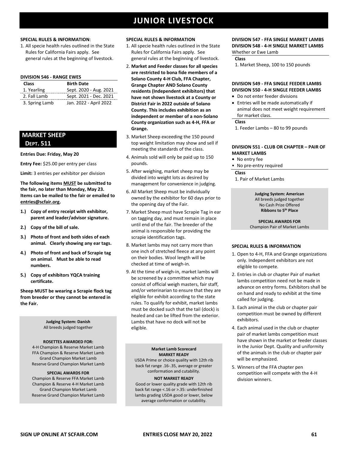### **SPECIAL RULES & INFORMATION**:

1. All specie health rules outlined in the State Rules for California Fairs apply. See general rules at the beginning of livestock.

### **DIVISION 546 - RANGE EWES**

| <b>Class</b>   | <b>Birth Date</b>      |
|----------------|------------------------|
| 1. Yearling    | Sept. 2020 - Aug. 2021 |
| 2. Fall Lamb   | Sept. 2021 - Dec. 2021 |
| 3. Spring Lamb | Jan. 2022 - April 2022 |

### **MARKET SHEEP DEPT. 511**

#### **Entries Due: Friday, May 20**

**Entry Fee:** \$25.00 per entry per class

**Limit:** 3 entries per exhibitor per division

**The following items MUST be submitted to the fair, no later than Monday, May 23. Items can be mailed to the fair or emailed to [entries@scfair.org.](mailto:entries@scfair.org)**

- **1.) Copy of entry receipt with exhibitor, parent and leader/advisor signature.**
- **2.) Copy of the bill of sale.**
- **3.) Photo of front and both sides of each animal. Clearly showing any ear tags.**
- **4.) Photo of front and back of Scrapie tag on animal. Must be able to read numbers.**
- **5.) Copy of exhibitors YQCA training certificate.**

**Sheep MUST be wearing a Scrapie flock tag from breeder or they cannot be entered in the Fair.**

> **Judging System: Danish** All breeds judged together

### **ROSETTES AWARDED FOR:**

4-H Champion & Reserve Market Lamb FFA Champion & Reserve Market Lamb Grand Champion Market Lamb Reserve Grand Champion Market Lamb

### **SPECIAL AWARDS FOR**

Champion & Reserve FFA Market Lamb Champion & Reserve 4-H Market Lamb Grand Champion Market Lamb Reserve Grand Champion Market Lamb

#### **SPECIAL RULES & INFORMATION**

- 1. All specie health rules outlined in the State Rules for California Fairs apply. See general rules at the beginning of livestock.
- 2. **Market and Feeder classes for all species are restricted to bona fide members of a Solano County 4-H Club, FFA Chapter, Grange Chapter AND Solano County residents (Independent exhibitors) that have not shown livestock at a County or District Fair in 2022 outside of Solano County. This includes exhibition as an independent or member of a non-Solano County organization such as 4-H, FFA or Grange.**
- 3. Market Sheep exceeding the 150 pound top weight limitation may show and sell if meeting the standards of the class.
- 4. Animals sold will only be paid up to 150 pounds.
- 5. After weighing, market sheep may be divided into weight lots as desired by management for convenience in judging.
- 6. All Market Sheep must be individually owned by the exhibitor for 60 days prior to the opening day of the Fair.
- 7. Market Sheep must have Scrapie Tag in ear on tagging day, and must remain in place until end of the fair. The breeder of the animal is responsible for providing the scrapie identification tags.
- 8. Market lambs may not carry more than one inch of stretched fleece at any point on their bodies. Wool length will be checked at time of weigh-in.
- 9. At the time of weigh-in, market lambs will be screened by a committee which may consist of official weigh masters, fair staff, and/or veterinarian to ensure that they are eligible for exhibit according to the state rules. To qualify for exhibit, market lambs must be docked such that the tail (dock) is healed and can be lifted from the exterior. Lambs that have no dock will not be eligible.

#### **Market Lamb Scorecard MARKET READY**

USDA Prime or choice quality with 12th rib back fat range .16-.35, average or greater conformation and cutability.

### **NOT MARKET READY**

Good or lower quality grade with 12th rib back fat range <.16 or >.35: underfinished lambs grading USDA good or lower, below average conformation or cutability.

### **DIVISION 547 - FFA SINGLE MARKET LAMBS DIVISION 548 - 4-H SINGLE MARKET LAMBS** Whether or Ewe Lamb

**Class**

1. Market Sheep, 100 to 150 pounds

### **DIVISION 549 - FFA SINGLE FEEDER LAMBS DIVISION 550 - 4-H SINGLE FEEDER LAMBS**

- Do not enter feeder divisions
- Entries will be made automatically if animal does not meet weight requirement for market class.

### **Class**

1. Feeder Lambs – 80 to 99 pounds

### **DIVISION 551 - CLUB OR CHAPTER – PAIR OF MARKET LAMBS**

- **•** No entry fee
- No pre-entry required

**Class**

1. Pair of Market Lambs

**Judging System: American** All breeds judged together No Cash Prize Offered **Ribbons to 5th Place**

**SPECIAL AWARDS FOR** Champion Pair of Market Lambs

- 1. Open to 4-H, FFA and Grange organizations only. Independent exhibitors are not eligible to compete.
- 2. Entries in club or chapter Pair of market lambs competition need not be made in advance on entry forms. Exhibitors shall be on hand and ready to exhibit at the time called for judging.
- 3. Each animal in the club or chapter pair competition must be owned by different exhibitors.
- 4. Each animal used in the club or chapter pair of market lambs competition must have shown in the market or feeder classes in the Junior Dept. Quality and uniformity of the animals in the club or chapter pair will be emphasized.
- 5. Winners of the FFA chapter pen competition will compete with the 4-H division winners.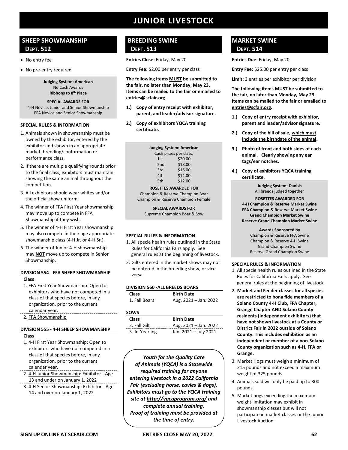### **SHEEP SHOWMANSHIP DEPT. 512**

- No entry fee
- No pre-entry required

**Judging System: American** No Cash Awards **Ribbons to 8th Place**

#### **SPECIAL AWARDS FOR**

4-H Novice, Junior and Senior Showmanship FFA Novice and Senior Showmanship

### **SPECIAL RULES & INFORMATION**

- 1. Animals shown in showmanship must be owned by the exhibitor, entered by the exhibitor and shown in an appropriate market, breeding/conformation or performance class.
- 2. If there are multiple qualifying rounds prior to the final class, exhibitors must maintain showing the same animal throughout the competition.
- 3. All exhibitors should wear whites and/or the official show uniform.
- 4. The winner of FFA First Year showmanship may move up to compete in FFA Showmanship if they wish.
- 5. The winner of 4-H First Year showmanship may also compete in their age appropriate showmanship class (4-H Jr. or 4-H Sr.).
- 6. The winner of Junior 4-H showmanship may **NOT** move up to compete in Senior Showmanship.

#### **DIVISION 554 - FFA SHEEP SHOWMANSHIP Class**

1. FFA First Year Showmanship: Open to exhibitors who have not competed in a class of that species before, in any organization, prior to the current calendar year. 

2. FFA Showmanship

### **DIVISION 555 - 4-H SHEEP SHOWMANSHIP**

### **Class**

- 1. 4-H First Year Showmanship: Open to exhibitors who have not competed in a class of that species before, in any organization, prior to the current calendar year.
- 2. 4-H Junior Showmanship: Exhibitor Age 13 and under on January 1, 2022
- 3. 4-H Senior Showmanship: Exhibitor Age 14 and over on January 1, 2022

### **BREEDING SWINE DEPT. 513**

**Entries Close:** Friday, May 20

**Entry Fee:** \$2.00 per entry per class

**The following items MUST be submitted to the fair, no later than Monday, May 23. Items can be mailed to the fair or emailed to [entries@scfair.org.](mailto:entries@scfair.org)**

- **1.) Copy of entry receipt with exhibitor, parent, and leader/advisor signature.**
- **2.) Copy of exhibitors YQCA training certificate.**

| <b>Judging System: American</b> |         |  |
|---------------------------------|---------|--|
| Cash prizes per class:          |         |  |
| 1st                             | \$20.00 |  |
| 2 <sub>nd</sub>                 | \$18.00 |  |
| 3rd                             | \$16.00 |  |
| 4th                             | \$14.00 |  |
| 5th                             | \$12.00 |  |
|                                 |         |  |

#### **ROSETTES AWARDED FOR** Champion & Reserve Champion Boar

Champion & Reserve Champion Female

**SPECIAL AWARDS FOR** Supreme Champion Boar & Sow

### **SPECIAL RULES & INFORMATION**

- 1. All specie health rules outlined in the State Rules for California Fairs apply. See general rules at the beginning of livestock.
- 2. Gilts entered in the market shows may not be entered in the breeding show, or vice versa.

### **DIVISION 560 -ALL BREEDS BOARS**

| <b>Class</b>  | <b>Birth Date</b>     |
|---------------|-----------------------|
| 1. Fall Boars | Aug. 2021 - Jan. 2022 |

### **SOWS**

| <b>Class</b>    | <b>Birth Date</b>     |
|-----------------|-----------------------|
| 2. Fall Gilt    | Aug. 2021 - Jan. 2022 |
| 3. Jr. Yearling | Jan. 2021 - July 2021 |

*Youth for the Quality Care of Animals (YQCA) is a Statewide required training for anyone entering livestock in a 2022 California Fair (excluding horse, cavies & dogs). Exhibitors must go to the YQCA training site at [http://yqcaprogram.org/](http://yqca.org/) and complete annual training. Proof of training must be provided at the time of entry.*

### **MARKET SWINE DEPT. 514**

**Entries Due:** Friday, May 20

**Entry Fee:** \$25.00 per entry per class

**Limit:** 3 entries per exhibitor per division

**The following items MUST be submitted to the fair, no later than Monday, May 23. Items can be mailed to the fair or emailed to [entries@scfair.org.](mailto:entries@scfair.org)**

- **1.) Copy of entry receipt with exhibitor, parent and leader/advisor signature.**
- **2.) Copy of the bill of sale, which must include the birthdate of the animal.**
- **3.) Photo of front and both sides of each animal. Clearly showing any ear tags/ear notches.**
- **4.) Copy of exhibitors YQCA training certificate.**

**Judging System: Danish** All breeds judged together **ROSETTES AWARDED FOR 4-H Champion & Reserve Market Swine FFA Champion & Reserve Market Swine Grand Champion Market Swine Reserve Grand Champion Market Swine**

**Awards Sponsored by** Champion & Reserve FFA Swine Champion & Reserve 4-H Swine Grand Champion Swine Reserve Grand Champion Swine

- 1. All specie health rules outlined in the State Rules for California Fairs apply. See general rules at the beginning of livestock.
- 2. **Market and Feeder classes for all species are restricted to bona fide members of a Solano County 4-H Club, FFA Chapter, Grange Chapter AND Solano County residents (Independent exhibitors) that have not shown livestock at a County or District Fair in 2022 outside of Solano County. This includes exhibition as an independent or member of a non-Solano County organization such as 4-H, FFA or Grange.**
- 3. Market Hogs must weigh a minimum of 215 pounds and not exceed a maximum weight of 325 pounds.
- 4. Animals sold will only be paid up to 300 pounds.
- 5. Market hogs exceeding the maximum weight limitation may exhibit in showmanship classes but will not participate in market classes or the Junior Livestock Auction.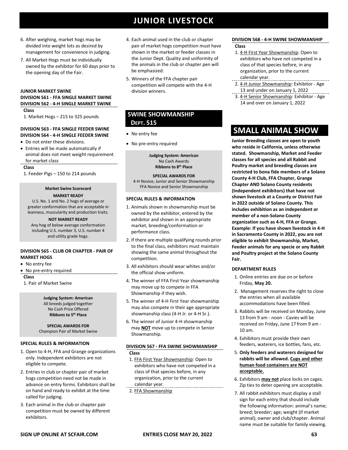- 6. After weighing, market hogs may be divided into weight lots as desired by management for convenience in judging.
- 7. All Market Hogs must be individually owned by the exhibitor for 60 days prior to the opening day of the Fair.

#### **JUNIOR MARKET SWINE**

### **DIVISION 561 - FFA SINGLE MARKET SWINE DIVISION 562 - 4-H SINGLE MARKET SWINE**

### **Class**

1. Market Hogs – 215 to 325 pounds

### **DIVISION 563 - FFA SINGLE FEEDER SWINE DIVISION 564 - 4-H SINGLE FEEDER SWINE**

- Do not enter these divisions.
- Entries will be made automatically if animal does not meet weight requirement for market class

#### **Class**

1. Feeder Pigs – 150 to 214 pounds

#### **Market Swine Scorecard MARKET READY**

U.S. No. 1 and No. 2 hogs of average or greater conformation that are acceptable in leanness, muscularity and production traits.

### **NOT MARKET READY**

Any hog of below average conformation including U.S. number 3, U.S. number 4 and utility grade hogs.

### **DIVISION 565 - CLUB OR CHAPTER - PAIR OF MARKET HOGS**

- No entry fee
- No pre-entry required

### **Class**

1. Pair of Market Swine

**Judging System: American** All breeds judged together No Cash Prize Offered **Ribbons to 5th Place**

**SPECIAL AWARDS FOR** Champion Pair of Market Swine

### **SPECIAL RULES & INFORMATION**

- 1. Open to 4-H, FFA and Grange organizations only. Independent exhibitors are not eligible to compete.
- 2. Entries in club or chapter pair of market hogs competition need not be made in advance on entry forms. Exhibitors shall be on hand and ready to exhibit at the time called for judging.
- 3. Each animal in the club or chapter pair competition must be owned by different exhibitors.
- 4. Each animal used in the club or chapter pair of market hogs competition must have shown in the market or feeder classes in the Junior Dept. Quality and uniformity of the animals in the club or chapter pen will be emphasized.
- 5. Winners of the FFA chapter pair competition will compete with the 4-H division winners.

### **SWINE SHOWMANSHIP DEPT. 515**

- No entry fee
- No pre-entry required

**Judging System: American** No Cash Awards **Ribbons to 8th Place**

#### **SPECIAL AWARDS FOR**

4-H Novice, Junior and Senior Showmanship FFA Novice and Senior Showmanship

### **SPECIAL RULES & INFORMATION**

- 1. Animals shown in showmanship must be owned by the exhibitor, entered by the exhibitor and shown in an appropriate market, breeding/conformation or performance class.
- 2. If there are multiple qualifying rounds prior to the final class, exhibitors must maintain showing the same animal throughout the competition.
- 3. All exhibitors should wear whites and/or the official show uniform.
- 4. The winner of FFA First Year showmanship may move up to compete in FFA Showmanship if they wish.
- 5. The winner of 4-H First Year showmanship may also compete in their age appropriate showmanship class (4-H Jr. or 4-H Sr.).
- 6. The winner of Junior 4-H showmanship may **NOT** move up to compete in Senior Showmanship.

#### **DIVISION 567 - FFA SWINE SHOWMANSHIP Class**

- 1. FFA First Year Showmanship: Open to exhibitors who have not competed in a class of that species before, in any organization, prior to the current calendar year.
- 2. FFA Showmanship

#### **DIVISION 568 - 4-H SWINE SHOWMANSHIP Class**

- 1. 4-H First Year Showmanship: Open to exhibitors who have not competed in a class of that species before, in any organization, prior to the current calendar year.
- 2. 4-H Junior Showmanship: Exhibitor Age 13 and under on January 1, 2022
- 3. 4-H Senior Showmanship: Exhibitor Age 14 and over on January 1, 2022

## **SMALL ANIMAL SHOW**

**Junior Breeding classes are open to youth who reside in California, unless otherwise stated. Showmanship, Market and Feeder classes for all species and all Rabbit and Poultry market and breeding classes are restricted to bona fide members of a Solano County 4-H Club, FFA Chapter, Grange Chapter AND Solano County residents (Independent exhibitors) that have not shown livestock at a County or District Fair in 2022 outside of Solano County. This includes exhibition as an independent or member of a non-Solano County organization such as 4-H, FFA or Grange. Example: If you have shown livestock in 4-H in Sacramento County in 2022, you are not eligible to exhibit Showmanship, Market, Feeder animals for any specie or any Rabbit and Poultry project at the Solano County Fair.**

### **DEPARTMENT RULES**

- 1. Online entries are due on or before Friday, **May 20.**
- 2. Management reserves the right to close the entries when all available accommodations have been filled.
- 3. Rabbits will be received on Monday, June 13 from 9 am - noon - Cavies will be received on Friday, June 17 from 9 am - 10 am.
- 4. Exhibitors must provide their own feeders, waterers, ice bottles, fans, etc.
- 5. **Only feeders and waterers designed for rabbits will be allowed. Cups and other human food containers are NOT acceptable.**
- 6. Exhibitors **may not** place locks on cages. Zip ties to deter opening are acceptable.
- 7. All rabbit exhibitors must display a stall sign for each entry that should include the following information: animal's name; breed; breeder; age; weight (if market animal); owner and club/chapter. Animal name must be suitable for family viewing.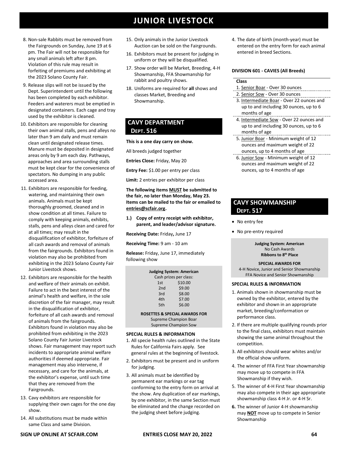**SIGN UP ONLINE AT SCFAIR.COM ENTRIES CLOSE MAY 20, 2022 64**

## **JUNIOR LIVESTOCK**

- 8. Non-sale Rabbits must be removed from the Fairgrounds on Sunday, June 19 at 6 pm. The Fair will not be responsible for any small animals left after 8 pm. Violation of this rule may result in forfeiting of premiums and exhibiting at the 2023 Solano County Fair.
- 9. Release slips will not be issued by the Dept. Superintendent until the following has been completed by each exhibitor. Feeders and waterers must be emptied in designated containers. Each cage and tray used by the exhibitor is cleaned.
- 10. Exhibitors are responsible for cleaning their own animal stalls, pens and alleys no later than 9 am daily and must remain clean until designated release times. Manure must be deposited in designated areas only by 9 am each day. Pathways, approaches and area surrounding stalls must be kept clear for the convenience of spectators. No dumping in any public accessed area.
- 11. Exhibitors are responsible for feeding, watering, and maintaining their own animals. Animals must be kept thoroughly groomed, cleaned and in show condition at all times. Failure to comply with keeping animals, exhibits, stalls, pens and alleys clean and cared for at all times; may result in the disqualification of exhibitor, forfeiture of all cash awards and removal of animals from the fairgrounds. Exhibitors found in violation may also be prohibited from exhibiting in the 2023 Solano County Fair Junior Livestock shows.
- 12. Exhibitors are responsible for the health and welfare of their animals on exhibit. Failure to act in the best interest of the animal's health and welfare, in the sole discretion of the fair manager, may result in the disqualification of exhibitor, forfeiture of all cash awards and removal of animals from the fairgrounds. Exhibitors found in violation may also be prohibited from exhibiting in the 2023 Solano County Fair Junior Livestock shows. Fair management may report such incidents to appropriate animal welfare authorities if deemed appropriate. Fair management may also intervene, if necessary, and care for the animals, at the exhibitor's expense, until such time that they are removed from the Fairgrounds.
- 13. Cavy exhibitors are responsible for supplying their own cages for the one day show.
- 14. All substitutions must be made within same Class and same Division.
- 15. Only animals in the Junior Livestock Auction can be sold on the Fairgrounds.
- 16. Exhibitors must be present for judging in uniform or they will be disqualified.
- 17. Show order will be Market, Breeding, 4-H Showmanship, FFA Showmanship for rabbit and poultry shows.
- 18. Uniforms are required for **all** shows and classes Market, Breeding and Showmanship.

### **CAVY DEPARTMENT DEPT. 516**

### **This is a one day carry on show.**

All breeds judged together

**Entries Close:** Friday, May 20

**Entry Fee:** \$1.00 per entry per class

**Limit:** 2 entries per exhibitor per class

**The following items MUST be submitted to the fair, no later than Monday, May 23. Items can be mailed to the fair or emailed to [entries@scfair.org.](mailto:entries@scfair.org)**

**1.) Copy of entry receipt with exhibitor, parent, and leader/advisor signature.**

**Receiving Date:** Friday**,** June 17

**Receiving Time:** 9 am - 10 am

**Release:** Friday, June 17, immediately following show

| <b>Judging System: American</b> |         |  |
|---------------------------------|---------|--|
| Cash prizes per class:          |         |  |
| 1st                             | \$10.00 |  |
| 2nd                             | \$9.00  |  |
| 3rd                             | \$8.00  |  |
| 4th                             | \$7.00  |  |
| 5th                             | \$6.00  |  |
| ACETTEC 0. CDECIAI              |         |  |

**ROSETTES & SPECIAL AWARDS FOR** Supreme Champion Boar Supreme Champion Sow

### **SPECIAL RULES & INFORMATION**

- 1. All specie health rules outlined in the State Rules for California Fairs apply. See general rules at the beginning of livestock.
- 2. Exhibitors must be present and in uniform for judging.
- 3. All animals must be identified by permanent ear markings or ear tag conforming to the entry form on arrival at the show. Any duplication of ear markings, by one exhibitor, in the same Section must be eliminated and the change recorded on the judging sheet before judging.

4. The date of birth (month-year) must be entered on the entry form for each animal entered in breed Sections.

### **DIVISION 601 - CAVIES (All Breeds)**

### **Class**

- 1. Senior Boar Over 30 ounces
- 2. Senior Sow Over 30 ounces
- 3. Intermediate Boar Over 22 ounces and up to and including 30 ounces, up to 6 months of age
- 4. Intermediate Sow Over 22 ounces and up to and including 30 ounces, up to 6 months of age
- 5. Junior Boar Minimum weight of 12 ounces and maximum weight of 22 ounces, up to 4 months of age
- 6. Junior Sow Minimum weight of 12 ounces and maximum weight of 22 ounces, up to 4 months of age

### **CAVY SHOWMANSHIP DEPT. 517**

- No entry fee
- No pre-entry required

**Judging System: American** No Cash Awards **Ribbons to 8th Place**

### **SPECIAL AWARDS FOR**

4-H Novice, Junior and Senior Showmanship FFA Novice and Senior Showmanship

- 1. Animals shown in showmanship must be owned by the exhibitor, entered by the exhibitor and shown in an appropriate market, breeding/conformation or performance class.
- 2. If there are multiple qualifying rounds prior to the final class, exhibitors must maintain showing the same animal throughout the competition.
- 3. All exhibitors should wear whites and/or the official show uniform.
- 4. The winner of FFA First Year showmanship may move up to compete in FFA Showmanship if they wish.
- 5. The winner of 4-H First Year showmanship may also compete in their age appropriate showmanship class 4-H Jr. or 4-H Sr.
- **6.** The winner of Junior 4-H showmanship may **NOT** move up to compete in Senior Showmanship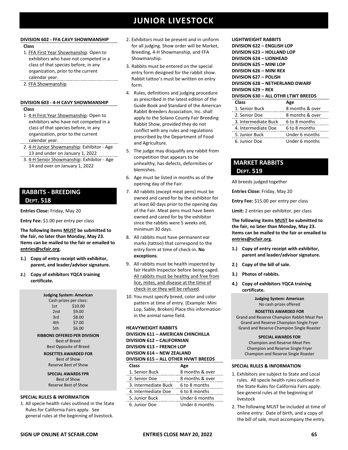### **DIVISION 602 - FFA CAVY SHOWMANSHIP**

### **Class**

- 1. FFA First Year Showmanship: Open to exhibitors who have not competed in a class of that species before, in any organization, prior to the current calendar year.
- 2. FFA Showmanship

### **DIVISION 603 - 4-H CAVY SHOWMANSHIP Class**

- 1. 4-H First Year Showmanship: Open to exhibitors who have not competed in a class of that species before, in any organization, prior to the current calendar year.
- 2. 4-H Junior Showmanship: Exhibitor Age 13 and under on January 1, 2022
- 3. 4-H Senior Showmanship: Exhibitor Age 14 and over on January 1, 2022

### **RABBITS - BREEDING DEPT. 518**

**Entries Close:** Friday, May 20

**Entry Fee:** \$1.00 per entry per class

**The following items MUST be submitted to the fair, no later than Monday, May 23. Items can be mailed to the fair or emailed to [entries@scfair.org.](mailto:entries@scfair.org)**

- **1.) Copy of entry receipt with exhibitor, parent, and leader/advisor signature.**
- **2.) Copy of exhibitors YQCA training certificate.**

| Judging System: American      |                                     |  |
|-------------------------------|-------------------------------------|--|
|                               | Cash prizes per class:              |  |
| 1st                           | \$10.00                             |  |
| 2nd                           | \$9.00                              |  |
| 3rd                           | \$8.00                              |  |
| 4th                           | \$7.00                              |  |
| 5th                           | \$6.00                              |  |
|                               | <b>RIBBONS OFFFRED PFR DIVISION</b> |  |
|                               | <b>Best of Breed</b>                |  |
| <b>Best Opposite of Breed</b> |                                     |  |
| <b>ROSETTES AWARDED FOR</b>   |                                     |  |
| <b>Best of Show</b>           |                                     |  |
| Reserve Best of Show          |                                     |  |
| <b>SPECIAL AWARDS FPR</b>     |                                     |  |
| <b>Best of Show</b>           |                                     |  |
| Reserve Best of Show          |                                     |  |
|                               |                                     |  |

### **SPECIAL RULES & INFORMATION**

1. All specie health rules outlined in the State Rules for California Fairs apply. See general rules at the beginning of livestock.

- 2. Exhibitors must be present and in uniform for all judging. Show order will be Market, Breeding, 4-H Showmanship, and FFA Showmanship.
- 3. Rabbits must be entered on the special entry form designed for the rabbit show. Rabbit tattoo's must be written on entry form.
- 4. Rules, definitions and judging procedure as prescribed in the latest edition of the Guide Book and Standard of the American Rabbit Breeders Association, Inc. shall apply to the Solano County Fair Breeding Rabbit Show, provided they do not conflict with any rules and regulations prescribed by the Department of Food and Agriculture.
- 5. The judge may disqualify any rabbit from competition that appears to be unhealthy, has defects, deformities or blemishes.
- 6. Age must be listed in months as of the opening day of the Fair.
- 7. All rabbits (except meat pens) must be owned and cared for by the exhibitor for at least 60 days prior to the opening day of the Fair. Meat pens must have been owned and cared for by the exhibitor since the rabbits were 5 weeks old, minimum 30 days.
- 8. All rabbits must have permanent ear marks (tattoo) that correspond to the entry form at time of check-in. **No exceptions**.
- 9. All rabbits must be health inspected by fair Health Inspector before being caged. All rabbits must be healthy and free from lice, mites, and disease at the time of check-in or they will be refused.
- 10. You must specify breed, color and color pattern at time of entry. (Example: Mini Lop, Sable, Broken) Place this information in the animal name field.

| <b>HEAVYWEIGHT RABBITS</b>                |                 |  |
|-------------------------------------------|-----------------|--|
| <b>DIVISION 611 - AMERICAN CHINCHILLA</b> |                 |  |
| <b>DIVISION 612 - CALIFORNIAN</b>         |                 |  |
| DIVISION 613 - FRENCH LOP                 |                 |  |
| DIVISION 614 - NEW ZEALAND                |                 |  |
| DIVISION 615 - ALL OTHER HVWT BREEDS      |                 |  |
| Class                                     | Age             |  |
| 1. Senior Buck                            | 8 months & over |  |
| 2. Senior Doe                             | 8 months & over |  |
| 3. Intermediate Buck                      | 6 to 8 months   |  |
| 4. Intermediate Doe                       | 6 to 8 months   |  |
| 5. Junior Buck                            | Under 6 months  |  |
| 6. Junior Doe                             | Under 6 months  |  |

**LIGHTWEIGHT RABBITS DIVISION 622 – ENGLISH LOP DIVISION 623 – HOLLAND LOP DIVISION 624 – LIONHEAD DIVISION 625 – MINI LOP DIVISION 626 – MINI REX DIVISION 627 – POLISH DIVISION 628 – NETHERLAND DWARF DIVISION 629 – REX**

|  | DIVISION 630 - ALL OTHR LTWT BREEDS |  |
|--|-------------------------------------|--|
|  |                                     |  |

| Age             |
|-----------------|
| 8 months & over |
| 8 months & over |
| 6 to 8 months   |
| 6 to 8 months   |
| Under 6 months  |
| Under 6 months  |
|                 |

### **MARKET RABBITS DEPT. 519**

All breeds judged together

**Entries Close:** Friday, May 20

**Entry Fee:** \$15.00 per entry per class

**Limit:** 2 entries per exhibitor, per class

**The following items MUST be submitted to the fair, no later than Monday, May 23. Items can be mailed to the fair or emailed to [entries@scfair.org.](mailto:entries@scfair.org)**

- **1.) Copy of entry receipt with exhibitor, parent and leader/advisor signature.**
- **2.) Copy of the bill of sale.**
- **3.) Photos of rabbits.**
- **4.) Copy of exhibitors YQCA training certificate.**

**Judging System: American** No cash prizes offered

### **ROSETTES AWARDED FOR**

Grand and Reserve Champion Rabbit Meat Pen Grand and Reserve Champion Single Fryer Grand and Reserve Champion Single Roaster

### **SPECIAL AWARDS FOR**

Champion and Reserve Meat Pen Champion and Reserve Single Fryer Champion and Reserve Single Roaster

- 1. Exhibitors are subject to State and Local rules. All specie health rules outlined in the State Rules for California Fairs apply. See general rules at the beginning of livestock
- 2. The following MUST be included at time of online entry: Date of birth, and a copy of the bill of sale, must accompany the entry.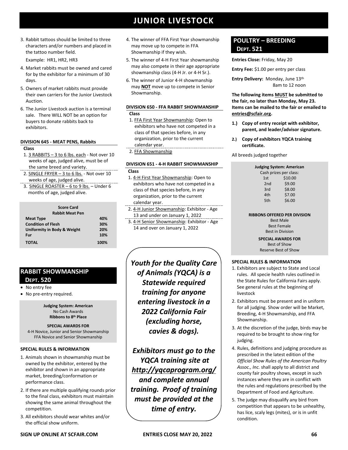3. Rabbit tattoos should be limited to three characters and/or numbers and placed in the tattoo number field.

Example: HR1, HR2, HR3

- 4. Market rabbits must be owned and cared for by the exhibitor for a minimum of 30 days.
- 5. Owners of market rabbits must provide their own carriers for the Junior Livestock Auction.
- 6. The Junior Livestock auction is a terminal sale. There WILL NOT be an option for buyers to donate rabbits back to exhibitors.

### **DIVISION 645 - MEAT PENS, Rabbits**

**Class**

- 1. 3 RABBITS 3 to 6 lbs. each Not over 10 weeks of age, judged alive, must be of the same breed and variety.
- 2. SINGLE FRYER 3 to 6 lbs. Not over 10 weeks of age, judged alive.
- 3. SINGLE ROASTER 6 to 9 lbs. Under 6 months of age, judged alive.

| <b>Score Card</b>                      |      |
|----------------------------------------|------|
| <b>Rabbit Meat Pen</b>                 |      |
| <b>Meat Type</b>                       | 40%  |
| <b>Condition of Flesh</b>              | 30%  |
| <b>Uniformity in Body &amp; Weight</b> | 20%  |
| Fur                                    | 10%  |
| <b>TOTAL</b>                           | 100% |

### **RABBIT SHOWMANSHIP DEPT. 520**

### • No entry fee

• No pre-entry required.

**Judging System: American** No Cash Awards **Ribbons to 8th Place**

**SPECIAL AWARDS FOR**  4-H Novice, Junior and Senior Showmanship FFA Novice and Senior Showmanship

### **SPECIAL RULES & INFORMATION**

- 1. Animals shown in showmanship must be owned by the exhibitor, entered by the exhibitor and shown in an appropriate market, breeding/conformation or performance class.
- 2. If there are multiple qualifying rounds prior to the final class, exhibitors must maintain showing the same animal throughout the competition.
- 3. All exhibitors should wear whites and/or the official show uniform.
- 4. The winner of FFA First Year showmanship may move up to compete in FFA Showmanship if they wish.
- 5. The winner of 4-H First Year showmanship may also compete in their age appropriate showmanship class (4-H Jr. or 4-H Sr.).
- 6. The winner of Junior 4-H showmanship may **NOT** move up to compete in Senior Showmanship.

### **DIVISION 650 - FFA RABBIT SHOWMANSHIP Class**

- 1. FFA First Year Showmanship: Open to exhibitors who have not competed in a class of that species before, in any organization, prior to the current calendar year.
- 2. FFA Showmanship

### **DIVISION 651 - 4-H RABBIT SHOWMANSHIP**

### **Class**

- 1. 4-H First Year Showmanship: Open to exhibitors who have not competed in a class of that species before, in any organization, prior to the current calendar year.
- 2. 4-H Junior Showmanship: Exhibitor Age 13 and under on January 1, 2022
- 3. 4-H Senior Showmanship: Exhibitor Age 14 and over on January 1, 2022

*Youth for the Quality Care of Animals (YQCA) is a Statewide required training for anyone entering livestock in a 2022 California Fair (excluding horse, cavies & dogs).*

*Exhibitors must go to the YQCA training site at [http://yqcaprogram.org/](http://yqca.org/) and complete annual training. Proof of training must be provided at the time of entry.*

### **POULTRY – BREEDING DEPT. 521**

**Entries Close:** Friday, May 20

**Entry Fee:** \$1.00 per entry per class

Entry Delivery: Monday, June 13<sup>th</sup> 8am to 12 noon

**The following items MUST be submitted to the fair, no later than Monday, May 23. Items can be mailed to the fair or emailed to [entries@scfair.org.](mailto:entries@scfair.org)**

- **1.) Copy of entry receipt with exhibitor, parent, and leader/advisor signature.**
- **2.) Copy of exhibitors YQCA training certificate.**

All breeds judged together

|                 | Judging System: American |
|-----------------|--------------------------|
|                 | Cash prizes per class:   |
| 1st             | \$10.00                  |
| 2 <sub>nd</sub> | \$9.00                   |
| 3rd             | \$8.00                   |
| 4th             | \$7.00                   |
| 5th             | \$6.00                   |
|                 |                          |

### **RIBBONS OFFERED PER DIVISION**

Best Male Best Female Best in Division

**SPECIAL AWARDS FOR**

Best of Show Reserve Best of Show

- 1. Exhibitors are subject to State and Local rules. All specie health rules outlined in the State Rules for California Fairs apply. See general rules at the beginning of livestock
- 2. Exhibitors must be present and in uniform for all judging. Show order will be Market, Breeding, 4-H Showmanship, and FFA Showmanship.
- 3. At the discretion of the judge, birds may be required to be brought to show ring for judging.
- 4. Rules, definitions and judging procedure as prescribed in the latest edition of the *Official Show Rules of the American Poultry Assoc., Inc.* shall apply to all district and county fair poultry shows, except in such instances where they are in conflict with the rules and regulations prescribed by the Department of Food and Agriculture.
- 5. The judge may disqualify any bird from competition that appears to be unhealthy, has lice, scaly legs (mites), or is in unfit condition.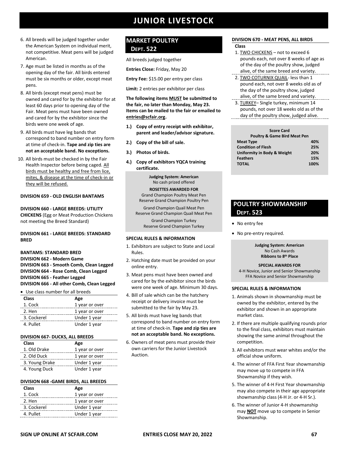- 6. All breeds will be judged together under the American System on individual merit, not competitive. Meat pens will be judged American.
- 7. Age must be listed in months as of the opening day of the fair. All birds entered must be six months or older, except meat pens.
- 8. All birds (except meat pens) must be owned and cared for by the exhibitor for at least 60 days prior to opening day of the Fair. Meat pens must have been owned and cared for by the exhibitor since the birds were one week of age.
- 9. All birds must have leg bands that correspond to band number on entry form at time of check-in. **Tape and zip ties are not an acceptable band. No exceptions.**
- 10. All birds must be checked in by the Fair Health Inspector before being caged. All birds must be healthy and free from lice, mites, & disease at the time of check-in or they will be refused.

### **DIVISION 659 - OLD ENGLISH BANTAMS**

**DIVISION 660 - LARGE BREEDS: UTILITY CHICKENS** (Egg or Meat Production Chickens not meeting the Breed Standard)

### **DIVISION 661 - LARGE BREEDS: STANDARD BRED**

**BANTAMS: STANDARD BRED**

**DIVISION 662 - Modern Game DIVISION 663 - Smooth Comb, Clean Legged DIVISION 664 - Rose Comb, Clean Legged DIVISION 665 - Feather Legged DIVISION 666 - All other Comb, Clean Legged**

| • Use class number for all breeds |                |  |
|-----------------------------------|----------------|--|
| Class                             | Age            |  |
| 1. Cock                           | 1 year or over |  |
| 2. Hen                            | 1 year or over |  |
| 3. Cockerel                       | Under 1 year   |  |
| 4. Pullet                         | Under 1 year   |  |

### **DIVISION 667- DUCKS, ALL BREEDS**

| <b>Class</b>   | Age            |
|----------------|----------------|
| 1. Old Drake   | 1 year or over |
| 2. Old Duck    | 1 year or over |
| 3. Young Drake | Under 1 year   |
| 4. Young Duck  | Under 1 year   |

### **DIVISION 668 -GAME BIRDS, ALL BREEDS**

| <b>Class</b> | Age            |
|--------------|----------------|
| 1. Cock      | 1 year or over |
| 2. Hen       | 1 year or over |
| 3. Cockerel  | Under 1 year   |
| 4. Pullet    | Under 1 year   |

### **MARKET POULTRY DEPT. 522**

All breeds judged together

**Entries Close:** Friday, May 20

**Entry Fee:** \$15.00 per entry per class

**Limit:** 2 entries per exhibitor per class

**The following items MUST be submitted to the fair, no later than Monday, May 23. Items can be mailed to the fair or emailed to [entries@scfair.org.](mailto:entries@scfair.org)**

- **1.) Copy of entry receipt with exhibitor, parent and leader/advisor signature.**
- **2.) Copy of the bill of sale.**
- **3.) Photos of birds.**
- **4.) Copy of exhibitors YQCA training certificate.**

**Judging System: American** No cash prized offered

**ROSETTES AWARDED FOR** Grand Champion Poultry Meat Pen Reserve Grand Champion Poultry Pen

Grand Champion Quail Meat Pen Reserve Grand Champion Quail Meat Pen

> Grand Champion Turkey Reserve Grand Champion Turkey

#### **SPECIAL RULES & INFORMATION**

- 1. Exhibitors are subject to State and Local Rules.
- 2. Hatching date must be provided on your online entry.
- 3. Meat pens must have been owned and cared for by the exhibitor since the birds were one week of age. Minimum 30 days.
- 4. Bill of sale which can be the hatchery receipt or delivery invoice must be submitted to the fair by May 23.
- 5. All birds must have leg bands that correspond to band number on entry form at time of check-in. **Tape and zip ties are not an acceptable band. No exceptions.**
- 6. Owners of meat pens must provide their own carriers for the Junior Livestock Auction.

### **DIVISION 670 - MEAT PENS, ALL BIRDS**

**Class**

- 1. TWO CHICKENS not to exceed 6 pounds each, not over 8 weeks of age as of the day of the poultry show, judged alive, of the same breed and variety.
- 2. TWO COTURNIX QUAIL- less than 1 pound each, not over 8 weeks old as of the day of the poultry show, judged alive, of the same breed and variety.
- 3. TURKEY– Single turkey, minimum 14 pounds, not over 18 weeks old as of the day of the poultry show, judged alive.

| <b>Poultry &amp; Game Bird Meat Pen</b> |
|-----------------------------------------|
| 40%                                     |
| 25%                                     |
| 20%                                     |
| 15%                                     |
| 100%                                    |
|                                         |

### **POULTRY SHOWMANSHIP DEPT. 523**

- No entry fee
- No pre-entry required.

**Judging System: American** No Cash Awards **Ribbons to 8th Place**

**SPECIAL AWARDS FOR**  4-H Novice, Junior and Senior Showmanship FFA Novice and Senior Showmanship

- 1. Animals shown in showmanship must be owned by the exhibitor, entered by the exhibitor and shown in an appropriate market class.
- 2. If there are multiple qualifying rounds prior to the final class, exhibitors must maintain showing the same animal throughout the competition.
- 3. All exhibitors must wear whites and/or the official show uniform.
- 4. The winner of FFA First Year showmanship may move up to compete in FFA Showmanship if they wish.
- 5. The winner of 4-H First Year showmanship may also compete in their age appropriate showmanship class (4-H Jr. or 4-H Sr.).
- 6. The winner of Junior 4-H showmanship may **NOT** move up to compete in Senior Showmanship.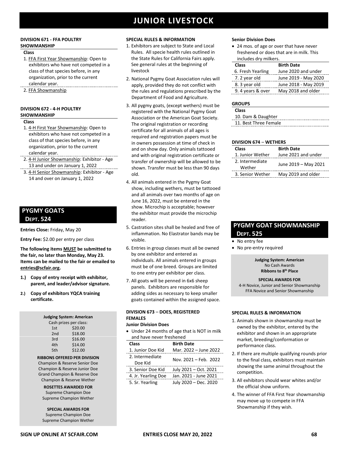### **DIVISION 671 - FFA POULTRY SHOWMANSHIP**

### **Class**

- 1. FFA First Year Showmanship: Open to exhibitors who have not competed in a class of that species before, in any organization, prior to the current calendar year.
- 2. FFA Showmanship

### **DIVISION 672 - 4-H POULTRY SHOWMANSHIP**

#### **Class**

- 1. 4-H First Year Showmanship: Open to exhibitors who have not competed in a class of that species before, in any organization, prior to the current calendar year.
- 2. 4-H Junior Showmanship: Exhibitor Age 13 and under on January 1, 2022
- 3. 4-H Senior Showmanship: Exhibitor Age 14 and over on January 1, 2022

### **PYGMY GOATS DEPT. 524**

**Entries Close:** Friday, May 20

**Entry Fee:** \$2.00 per entry per class

**The following items MUST be submitted to the fair, no later than Monday, May 23. Items can be mailed to the fair or emailed to [entries@scfair.org.](mailto:entries@scfair.org)**

- **1.) Copy of entry receipt with exhibitor, parent, and leader/advisor signature.**
- **2.) Copy of exhibitors YQCA training certificate.**

| <b>Judging System: American</b> |                        |  |
|---------------------------------|------------------------|--|
|                                 | Cash prizes per class: |  |
| 1st                             | \$20.00                |  |
| 2nd                             | \$18.00                |  |
| 3rd                             | \$16.00                |  |
| 4th                             | \$14.00                |  |
| 5th                             | \$12.00                |  |
|                                 |                        |  |

### **RIBBONS OFFERED PER DIVISION**

Champion & Reserve Senior Doe Champion & Reserve Junior Doe Grand Champion & Reserve Doe Champion & Reserve Wether

### **ROSETTES AWARDED FOR** Supreme Champion Doe Supreme Champion Wether

**SPECIAL AWARDS FOR** Supreme Champion Doe Supreme Champion Wether

### **SPECIAL RULES & INFORMATION**

- 1. Exhibitors are subject to State and Local Rules. All specie health rules outlined in the State Rules for California Fairs apply. See general rules at the beginning of livestock
- 2. National Pygmy Goat Association rules will apply, provided they do not conflict with the rules and regulations prescribed by the Department of Food and Agriculture.
- 3. All pygmy goats, (except wethers) must be registered with the National Pygmy Goat Association or the American Goat Society. The original registration or recording certificate for all animals of all ages is required and registration papers must be in owners possession at time of check in and on show day. Only animals tattooed and with original registration certificate or transfer of ownership will be allowed to be shown. Transfer must be less than 90 days old.
- 4. All animals entered in the Pygmy Goat show, including wethers, must be tattooed and all animals over two months of age on June 16, 2022, must be entered in the show. Microchip is acceptable; however the exhibitor must provide the microchip reader.
- 5. Castration sites shall be healed and free of inflammation. No Elastrator bands may be visible.
- 6. Entries in group classes must all be owned by one exhibitor and entered as individuals. All animals entered in groups must be of one breed. Groups are limited to one entry per exhibitor per class.
- 7. All goats will be penned in 6x6 sheep panels. Exhibitors are responsible for adding sides as necessary to keep smaller goats contained within the assigned space.

### **DIVISION 673** – **DOES, REGISTERED FEMALES**

### **Junior Division Does**

• Under 24 months of age that is NOT in milk and have never freshened

| Class                      | <b>Birth Date</b>     |
|----------------------------|-----------------------|
| 1. Junior Doe Kid          | Mar. 2022 - June 2022 |
| 2. Intermediate<br>Doe Kid | Nov. 2021 - Feb. 2022 |
| 3. Senior Doe Kid          | July 2021 - Oct. 2021 |
| 4. Jr. Yearling Doe        | Jan. 2021 - June 2021 |
| 5. Sr. Yearling            | July 2020 - Dec. 2020 |

### **Senior Division Does**

• 24 mos. of age or over that have never freshened or does that are in milk. This includes dry milkers.

| <b>Class</b>      | <b>Birth Date</b>    |
|-------------------|----------------------|
| 6. Fresh Yearling | June 2020 and under  |
| 7. 2 year old     | June 2019 - May 2020 |
| 8. 3 year old     | June 2018 - May 2019 |
| 9. 4 years & over | May 2018 and older   |

### **GROUPS**

| <b>Class</b>          |  |
|-----------------------|--|
| 10. Dam & Daughter    |  |
| 11. Best Three Female |  |

#### **DIVISION 674** – **WETHERS**

| Class                     | <b>Birth Date</b>    |
|---------------------------|----------------------|
| 1. Junior Wether          | June 2021 and under  |
| 2. Intermediate<br>Wether | June 2019 - May 2021 |
| 3. Senior Wether          | May 2019 and older   |

## **PYGMY GOAT SHOWMANSHIP**

- **DEPT. 525**
- No entry fee
- No pre-entry required

**Judging System: American** No Cash Awards **Ribbons to 8th Place**

#### **SPECIAL AWARDS FOR**

4-H Novice, Junior and Senior Showmanship FFA Novice and Senior Showmanship

- 1. Animals shown in showmanship must be owned by the exhibitor, entered by the exhibitor and shown in an appropriate market, breeding/conformation or performance class.
- 2. If there are multiple qualifying rounds prior to the final class, exhibitors must maintain showing the same animal throughout the competition.
- 3. All exhibitors should wear whites and/or the official show uniform.
- 4. The winner of FFA First Year showmanship may move up to compete in FFA Showmanship if they wish.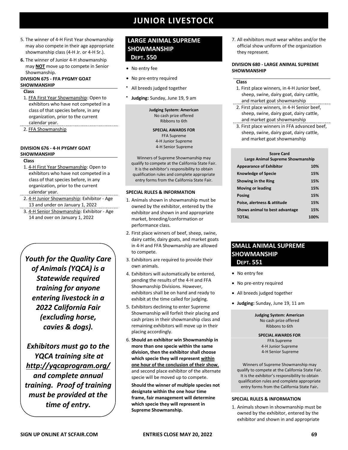- 5. The winner of 4-H First Year showmanship may also compete in their age appropriate showmanship class (4-H Jr. or 4-H Sr.).
- **6.** The winner of Junior 4-H showmanship may **NOT** move up to compete in Senior Showmanship.

### **DIVISION 675 - FFA PYGMY GOAT SHOWMANSHIP**

#### **Class**

- 1. FFA First Year Showmanship: Open to exhibitors who have not competed in a class of that species before, in any organization, prior to the current calendar year.
- 2. FFA Showmanship

### **DIVISION 676 - 4-H PYGMY GOAT SHOWMANSHIP**

#### **Class**

- 1. 4-H First Year Showmanship: Open to exhibitors who have not competed in a class of that species before, in any organization, prior to the current calendar year.
- 2. 4-H Junior Showmanship: Exhibitor Age 13 and under on January 1, 2022
- 3. 4-H Senior Showmanship: Exhibitor Age 14 and over on January 1, 2022

*Youth for the Quality Care of Animals (YQCA) is a Statewide required training for anyone entering livestock in a 2022 California Fair (excluding horse, cavies & dogs).*

*Exhibitors must go to the YQCA training site at [http://yqcaprogram.org/](http://yqca.org/) and complete annual training. Proof of training must be provided at the time of entry.*

### **LARGE ANIMAL SUPREME SHOWMANSHIP DEPT. 550**

- No entry fee
- No pre-entry required
- All breeds judged together
- **Judging:** Sunday, June 19, 9 am

**Judging System: American** No cash prize offered Ribbons to 6th

**SPECIAL AWARDS FOR**  FFA Supreme 4-H Junior Supreme 4-H Senior Supreme

Winners of Supreme Showmanship may qualify to compete at the California State Fair. It is the exhibitor's responsibility to obtain qualification rules and complete appropriate entry forms from the California State Fair.

### **SPECIAL RULES & INFORMATION**

- 1. Animals shown in showmanship must be owned by the exhibitor, entered by the exhibitor and shown in and appropriate market, breeding/conformation or performance class.
- 2. First place winners of beef, sheep, swine, dairy cattle, dairy goats, and market goats in 4-H and FFA Showmanship are allowed to compete.
- 3. Exhibitors are required to provide their own animals.
- 4. Exhibitors will automatically be entered, pending the results of the 4-H and FFA Showmanship Divisions. However, exhibitors shall be on hand and ready to exhibit at the time called for judging.
- 5. Exhibitors declining to enter Supreme Showmanship will forfeit their placing and cash prizes in their showmanship class and remaining exhibitors will move up in their placing accordingly.
- 6. **Should an exhibitor win Showmanship in more than one specie within the same division, then the exhibitor shall choose which specie they will represent within one hour of the conclusion of their show**, and second place exhibitor of the alternate specie will be moved up to compete.

**Should the winner of multiple species not designate within the one hour time frame, fair management will determine which specie they will represent in Supreme Showmanship.**

7. All exhibitors must wear whites and/or the official show uniform of the organization they represent.

### **DIVISION 680 - LARGE ANIMAL SUPREME SHOWMANSHIP**

### **Class**

- 1. First place winners, in 4-H Junior beef, sheep, swine, dairy goat, dairy cattle, and market goat showmanship
- 2. First place winners, in 4-H Senior beef, sheep, swine, dairy goat, dairy cattle, and market goat showmanship
- 3. First place winners in FFA advanced beef, sheep, swine, dairy goat, dairy cattle, and market goat showmanship

| <b>Score Card</b><br>Large Animal Supreme Showmanship |      |
|-------------------------------------------------------|------|
| <b>Appearance of Exhibitor</b>                        | 10%  |
| <b>Knowledge of Specie</b>                            | 15%  |
| Showing in the Ring                                   | 15%  |
| <b>Moving or leading</b>                              | 15%  |
| <b>Posing</b>                                         | 15%  |
| Poise, alertness & attitude                           | 15%  |
| Shows animal to best advantage                        | 15%  |
| ΤΟΤΑΙ                                                 | 100% |

### **SMALL ANIMAL SUPREME SHOWMANSHIP DEPT. 551**

- No entry fee
- No pre-entry required
- All breeds judged together
- **Judging:** Sunday, June 19, 11 am

**Judging System: American** No cash prize offered Ribbons to 6th

**SPECIAL AWARDS FOR**  FFA Supreme 4-H Junior Supreme 4-H Senior Supreme

Winners of Supreme Showmanship may qualify to compete at the California State Fair. It is the exhibitor's responsibility to obtain qualification rules and complete appropriate entry forms from the California State Fair**.**

### **SPECIAL RULES & INFORMATION**

1. Animals shown in showmanship must be owned by the exhibitor, entered by the exhibitor and shown in and appropriate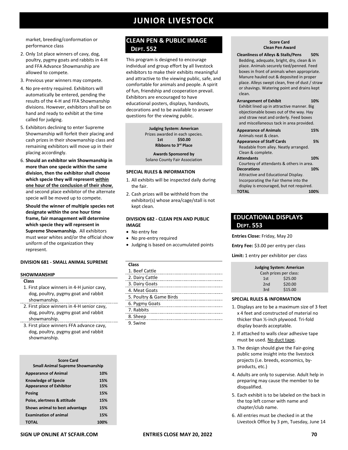market, breeding/conformation or performance class

- 2. Only 1st place winners of cavy, dog, poultry, pygmy goats and rabbits in 4-H and FFA Advance Showmanship are allowed to compete.
- 3. Previous year winners may compete.
- 4. No pre-entry required. Exhibitors will automatically be entered, pending the results of the 4-H and FFA Showmanship divisions. However, exhibitors shall be on hand and ready to exhibit at the time called for judging.
- 5. Exhibitors declining to enter Supreme Showmanship will forfeit their placing and cash prizes in their showmanship class and remaining exhibitors will move up in their placing accordingly.
- 6. **Should an exhibitor win Showmanship in more than one specie within the same division, then the exhibitor shall choose which specie they will represent within one hour of the conclusion of their show**, and second place exhibitor of the alternate specie will be moved up to compete.

**Should the winner of multiple species not designate within the one hour time frame, fair management will determine which specie they will represent in Supreme Showmanship.** All exhibitors must wear whites and/or the official show uniform of the organization they represent.

### **DIVISION 681 - SMALL ANIMAL SUPREME**

#### **SHOWMANSHIP**

#### **Class**

- 1. First place winners in 4-H junior cavy, dog, poultry, pygmy goat and rabbit showmanship.
- 2. First place winners in 4-H senior cavy, dog, poultry, pygmy goat and rabbit showmanship.

3. First place winners FFA advance cavy, dog, poultry, pygmy goat and rabbit showmanship.

| <b>Score Card</b><br><b>Small Animal Supreme Showmanship</b> |            |
|--------------------------------------------------------------|------------|
| <b>Appearance of Animal</b>                                  | 10%        |
| <b>Knowledge of Specie</b><br><b>Appearance of Exhibitor</b> | 15%<br>15% |
| Posing                                                       | 15%        |
| Poise, alertness & attitude                                  | 15%        |
| Shows animal to best advantage                               | 15%        |
| <b>Examination of animal</b>                                 | 15%        |
| TOTAL                                                        | 100%       |

### **CLEAN PEN & PUBLIC IMAGE DEPT. 552**

This program is designed to encourage individual and group effort by all livestock exhibitors to make their exhibits meaningful and attractive to the viewing public, safe, and comfortable for animals and people. A spirit of fun, friendship and cooperation prevail. Exhibitors are encouraged to have educational posters, displays, handouts, decorations and to be available to answer questions for the viewing public.

> **Judging System: American** Prizes awarded in each species. **1st \$50.00 Ribbons to 3 rd Place**

**Awards Sponsored by**  Solano County Fair Association

### **SPECIAL RULES & INFORMATION**

- 1. All exhibits will be inspected daily during the fair.
- 2. Cash prizes will be withheld from the exhibitor(s) whose area/cage/stall is not kept clean.

### **DIVISION 682 - CLEAN PEN AND PUBLIC IMAGE**

- No entry fee
- No pre-entry required
- Judging is based on accumulated points

### **Class**

| 1. Beef Cattle                                  |
|-------------------------------------------------|
| 2. Dairy Cattle                                 |
| 3. Dairy Goats<br>----------------------------- |
| 4. Meat Goats                                   |
| 5. Poultry & Game Birds                         |
| 6. Pygmy Goats                                  |
| 7. Rabbits                                      |
| 8. Sheep                                        |
| 9 Swine                                         |

#### **Score Card Clean Pen Award**

 **Cleanliness of Alleys & Stalls/Pens 50%** Bedding, adequate, bright, dry, clean & in place. Animals securely tied/penned. Feed boxes in front of animals when appropriate. Manure hauled out & deposited in proper place. Alleys swept clean, free of dust / straw or shavings. Watering point and drains kept clean.

| <b>Arrangement of Exhibit</b>              | 10% |
|--------------------------------------------|-----|
| Exhibit lined up in attractive manner. Big |     |
| objectionable boxes out of the way. Hay    |     |
| and straw neat and orderly. Feed boxes     |     |
| and miscellaneous tack in area provided.   |     |
| <b>Appearance of Animals</b>               | 15% |
| Animals neat & clean.                      |     |

| <b>Appearance of Staff Cards</b>         | 5%  |
|------------------------------------------|-----|
| Readable from alley. Neatly arranged.    |     |
| Clean & complete.                        |     |
| <b>Attendants</b>                        | 10% |
| Courtesy of attendants & others in area. |     |
| <b>Decorations</b>                       | 10% |
| Attractive and Educational Display.      |     |
| Incorporating the Fair theme into the    |     |
| display is encouraged, but not required. |     |
| <b>TOTAL</b>                             |     |
|                                          |     |

### **EDUCATIONAL DISPLAYS DEPT. 553**

**Entries Close:** Friday, May 20

**Entry Fee:** \$3.00 per entry per class

**Limit:** 1 entry per exhibitor per class

|                 | <b>Judging System: American</b> |
|-----------------|---------------------------------|
|                 | Cash prizes per class:          |
| 1st             | \$25.00                         |
| 2 <sub>nd</sub> | \$20.00                         |
| 3rd             | \$15.00                         |

- 1. Displays are to be a maximum size of 3 feet x 4 feet and constructed of material no thicker than ½-inch plywood. Tri-fold display boards acceptable.
- 2. If attached to walls clear adhesive tape must be used. No duct tape.
- 3. The design should give the Fair-going public some insight into the livestock projects (i.e. breeds, economics, byproducts, etc.)
- 4. Adults are only to supervise. Adult help in preparing may cause the member to be disqualified.
- 5. Each exhibit is to be labeled on the back in the top left corner with name and chapter/club name.
- 6. All entries must be checked in at the Livestock Office by 3 pm, Tuesday, June 14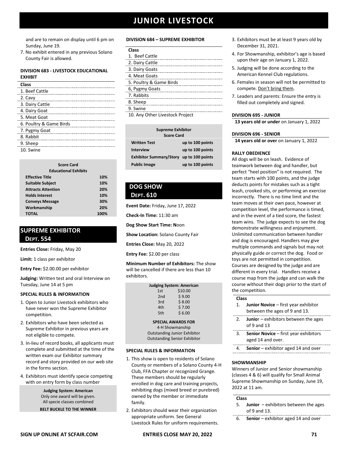and are to remain on display until 6 pm on Sunday, June 19.

7. No exhibit entered in any previous Solano County Fair is allowed.

### **DIVISION 683 - LIVESTOCK EDUCATIONAL EXHIBIT**

| Class                   |
|-------------------------|
| 1. Beef Cattle          |
| 2. Cavy                 |
| 3. Dairy Cattle         |
| 4. Dairy Goat           |
| 5. Meat Goat            |
| 6. Poultry & Game Birds |
| 7. Pygmy Goat           |
| 8. Rabbit               |
| 9. Sheep                |
| 10. Swine               |

| <b>Score Card</b><br><b>Educational Exhibits</b> |      |
|--------------------------------------------------|------|
| <b>Effective Title</b>                           | 10%  |
| <b>Suitable Subject</b>                          | 10%  |
| <b>Attracts Attention</b>                        | 20%  |
| <b>Holds Interest</b>                            | 10%  |
| <b>Conveys Message</b>                           | 30%  |
| Workmanship                                      | 20%  |
| ΤΟΤΑΙ                                            | 100% |

### **SUPREME EXHIBITOR DEPT. 554**

**Entries Close:** Friday, May 20

**Limit:** 1 class per exhibitor

**Entry Fee:** \$2.00.00 per exhibitor

**Judging:** Written test and oral Interview on Tuesday, June 14 at 5 pm

### **SPECIAL RULES & INFORMATION**

- 1. Open to Junior Livestock exhibitors who have never won the Supreme Exhibitor competition.
- 2. Exhibitors who have been selected as Supreme Exhibitor in previous years are not eligible to compete.
- 3. In-lieu of record books, all applicants must complete and submitted at the time of the written exam our Exhibitor summary record and story provided on our web site in the forms section.
- 4. Exhibitors must identify specie competing with on entry form by class number

**Judging System: American** Only one award will be given. All specie classes combined

**BELT BUCKLE TO THE WINNER**

### **DIVISION 684 – SUPREME EXHIBITOR**

| - - - - |
|---------|
|---------|

| 1. Beef Cattle                 |
|--------------------------------|
| 2. Dairy Cattle                |
| 3. Dairy Goats                 |
| 4. Meat Goats                  |
| 5. Poultry & Game Birds        |
| 6, Pygmy Goats                 |
| 7. Rabbits                     |
| 8. Sheep                       |
| 9. Swine                       |
| 10 Apy Other Livestock Project |

10. Any Other Livestock Project

| <b>Supreme Exhibitor</b><br><b>Score Card</b> |                  |
|-----------------------------------------------|------------------|
| <b>Written Test</b>                           | up to 100 points |
| <b>Interview</b>                              | up to 100 points |
| Exhibitor Summary/Story up to 100 points      |                  |
| <b>Public Image</b>                           | up to 100 points |

### **DOG SHOW DEPT. 610**

**Event Date:** Friday, June 17, 2022

**Check-In Time:** 11:30 am

**Dog Show Start Time: N**oon

**Show Location:** Solano County Fair

**Entries Close:** May 20, 2022

**Entry Fee:** \$2.00 per class

**Minimum Number of Exhibitors:** The show will be cancelled if there are less than 10 exhibitors.

| <b>Judging System: American</b> |         |
|---------------------------------|---------|
| 1st                             | \$10.00 |
| 2 <sub>nd</sub>                 | \$9.00  |
| 3rd                             | \$8.00  |
| 4th                             | \$7.00  |
| 5th                             | \$6.00  |

**SPECIAL AWARDS FOR**

4-H Showmanship Outstanding Junior Exhibitor Outstanding Senior Exhibitor

### **SPECIAL RULES & INFORMATION**

- 1. This show is open to residents of Solano County or members of a Solano County 4-H Club, FFA Chapter or recognized Grange. These members should be regularly enrolled in dog care and training projects, exhibiting dogs (mixed breed or purebred) owned by the member or immediate family.
- 2. Exhibitors should wear their organization appropriate uniform. See General Livestock Rules for uniform requirements.
- 3. Exhibitors must be at least 9 years old by December 31, 2021.
- 4. For Showmanship, exhibitor's age is based upon their age on January 1, 2022.
- 5. Judging will be done according to the American Kennel Club regulations.
- 6. Females in season will not be permitted to compete. Don't bring them.
- 7. Leaders and parents: Ensure the entry is filled out completely and signed.

### **DIVISION 695 - JUNIOR**

**13 years old or under** on January 1, 2022

### **DIVISION 696 - SENIOR**

**14 years old or over** on January 1, 2022

### **RALLY OBEDIENCE**

All dogs will be on leash. Evidence of teamwork between dog and handler, but perfect "heel position" is not required. The team starts with 100 points, and the judge deducts points for mistakes such as a tight leash, crooked sits, or performing an exercise incorrectly. There is no time limit and the team moves at their own pace, however at competition level, the performance is timed, and in the event of a tied score, the fastest team wins. The judge expects to see the dog demonstrate willingness and enjoyment. Unlimited communication between handler and dog is encouraged. Handlers may give multiple commands and signals but may not physically guide or correct the dog. Food or toys are not permitted in competition. Courses are designed by the judge and are different in every trial. Handlers receive a course map from the judge and can walk the course without their dogs prior to the start of the competition.

### **Class**

- 1. **Junior Novice** first year exhibitor between the ages of 9 and 13.
- 2. **Junio**r exhibitors between the ages of 9 and 13
- 3. **Senior Novice** first year exhibitors aged 14 and over.
- 4. **Senior**  exhibitor aged 14 and over

### **SHOWMANSHIP**

Winners of Junior and Senior showmanship (classes 4 & 6) will qualify for Small Animal Supreme Showmanship on Sunday, June 19, 2022 at 11 am.

### **Class**

- 5. **Junior**  exhibitors between the ages of 9 and 13.
- 6. **Senior**  exhibitor aged 14 and over